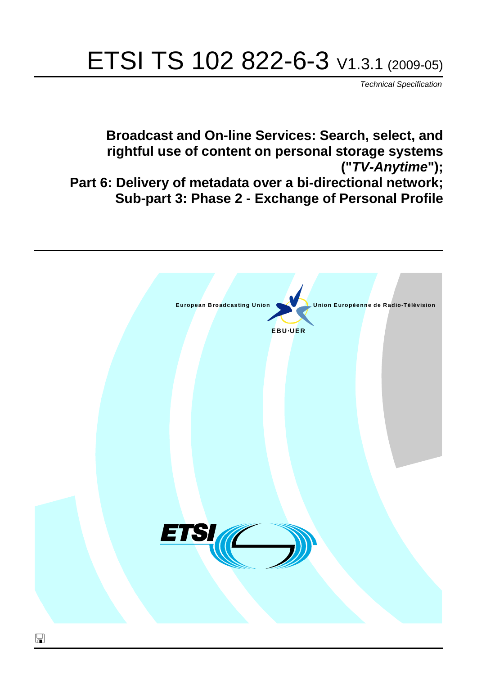# ETSI TS 102 822-6-3 V1.3.1 (2009-05)

*Technical Specification*

**Broadcast and On-line Services: Search, select, and rightful use of content on personal storage systems ("***TV-Anytime***"); Part 6: Delivery of metadata over a bi-directional network; Sub-part 3: Phase 2 - Exchange of Personal Profile**

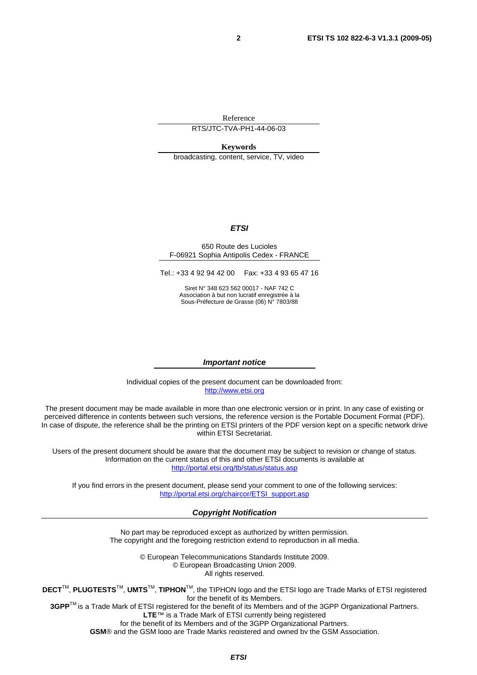Reference

RTS/JTC-TVA-PH1-44-06-03

**Keywords** 

broadcasting, content, service, TV, video

#### *ETSI*

#### 650 Route des Lucioles F-06921 Sophia Antipolis Cedex - FRANCE

Tel.: +33 4 92 94 42 00 Fax: +33 4 93 65 47 16

Siret N° 348 623 562 00017 - NAF 742 C Association à but non lucratif enregistrée à la Sous-Préfecture de Grasse (06) N° 7803/88

#### *Important notice*

Individual copies of the present document can be downloaded from: [http://www.etsi.org](http://www.etsi.org/)

The present document may be made available in more than one electronic version or in print. In any case of existing or perceived difference in contents between such versions, the reference version is the Portable Document Format (PDF). In case of dispute, the reference shall be the printing on ETSI printers of the PDF version kept on a specific network drive within ETSI Secretariat.

Users of the present document should be aware that the document may be subject to revision or change of status. Information on the current status of this and other ETSI documents is available at <http://portal.etsi.org/tb/status/status.asp>

If you find errors in the present document, please send your comment to one of the following services: [http://portal.etsi.org/chaircor/ETSI\\_support.asp](http://portal.etsi.org/chaircor/ETSI_support.asp)

#### *Copyright Notification*

No part may be reproduced except as authorized by written permission. The copyright and the foregoing restriction extend to reproduction in all media.

> © European Telecommunications Standards Institute 2009. © European Broadcasting Union 2009. All rights reserved.

**DECT**TM, **PLUGTESTS**TM, **UMTS**TM, **TIPHON**TM, the TIPHON logo and the ETSI logo are Trade Marks of ETSI registered for the benefit of its Members. **3GPP**TM is a Trade Mark of ETSI registered for the benefit of its Members and of the 3GPP Organizational Partners.

**LTE**™ is a Trade Mark of ETSI currently being registered

for the benefit of its Members and of the 3GPP Organizational Partners.

**GSM**® and the GSM logo are Trade Marks registered and owned by the GSM Association.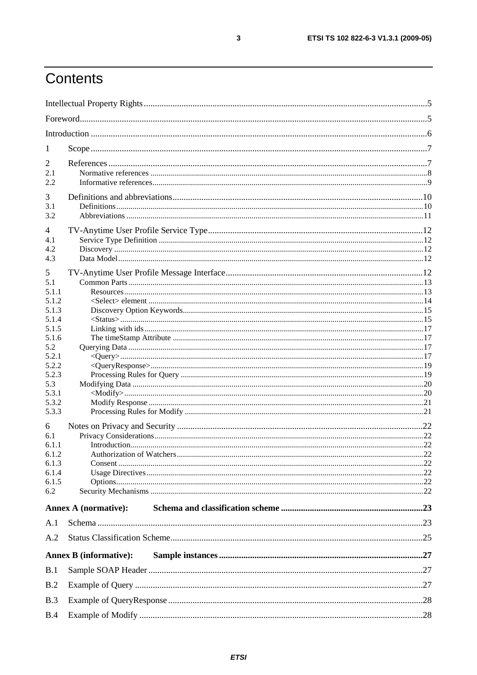## Contents

| 1                                                                                                                                                                                           |                               |  |
|---------------------------------------------------------------------------------------------------------------------------------------------------------------------------------------------|-------------------------------|--|
| 2<br>2.1<br>2.2                                                                                                                                                                             |                               |  |
| 3<br>3.1<br>3.2                                                                                                                                                                             |                               |  |
| 4<br>4.1<br>4.2<br>4.3                                                                                                                                                                      |                               |  |
| 5<br>5.1<br>5.1.1<br>5.1.2<br>5.1.3<br>5.1.4<br>5.1.5<br>5.1.6<br>5.2<br>5.2.1<br>5.2.2<br>5.2.3<br>5.3<br>5.3.1<br>5.3.2<br>5.3.3<br>6<br>6.1<br>6.1.1<br>6.1.2<br>6.1.3<br>6.1.4<br>6.1.5 |                               |  |
| 6.2                                                                                                                                                                                         | <b>Annex A (normative):</b>   |  |
| A.1                                                                                                                                                                                         |                               |  |
| A.2                                                                                                                                                                                         |                               |  |
|                                                                                                                                                                                             | <b>Annex B</b> (informative): |  |
| B.1                                                                                                                                                                                         |                               |  |
| B.2                                                                                                                                                                                         |                               |  |
| B.3                                                                                                                                                                                         |                               |  |
| B.4                                                                                                                                                                                         |                               |  |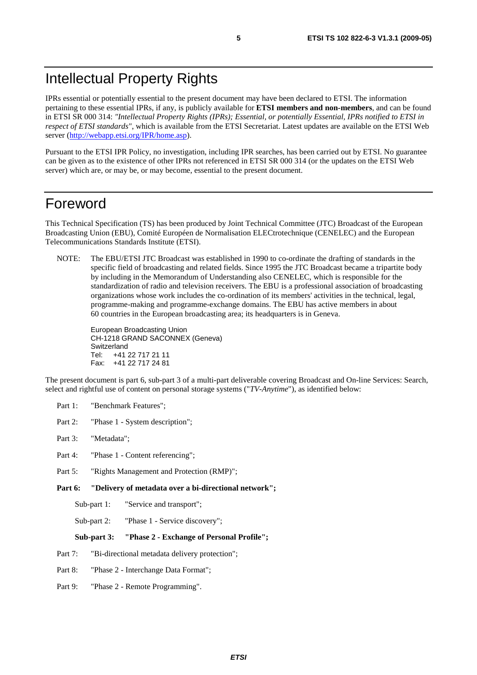### Intellectual Property Rights

IPRs essential or potentially essential to the present document may have been declared to ETSI. The information pertaining to these essential IPRs, if any, is publicly available for **ETSI members and non-members**, and can be found in ETSI SR 000 314: *"Intellectual Property Rights (IPRs); Essential, or potentially Essential, IPRs notified to ETSI in respect of ETSI standards"*, which is available from the ETSI Secretariat. Latest updates are available on the ETSI Web server ([http://webapp.etsi.org/IPR/home.asp\)](http://webapp.etsi.org/IPR/home.asp).

Pursuant to the ETSI IPR Policy, no investigation, including IPR searches, has been carried out by ETSI. No guarantee can be given as to the existence of other IPRs not referenced in ETSI SR 000 314 (or the updates on the ETSI Web server) which are, or may be, or may become, essential to the present document.

### Foreword

This Technical Specification (TS) has been produced by Joint Technical Committee (JTC) Broadcast of the European Broadcasting Union (EBU), Comité Européen de Normalisation ELECtrotechnique (CENELEC) and the European Telecommunications Standards Institute (ETSI).

NOTE: The EBU/ETSI JTC Broadcast was established in 1990 to co-ordinate the drafting of standards in the specific field of broadcasting and related fields. Since 1995 the JTC Broadcast became a tripartite body by including in the Memorandum of Understanding also CENELEC, which is responsible for the standardization of radio and television receivers. The EBU is a professional association of broadcasting organizations whose work includes the co-ordination of its members' activities in the technical, legal, programme-making and programme-exchange domains. The EBU has active members in about 60 countries in the European broadcasting area; its headquarters is in Geneva.

European Broadcasting Union CH-1218 GRAND SACONNEX (Geneva) Switzerland Tel: +41 22 717 21 11 Fax: +41 22 717 24 81

The present document is part 6, sub-part 3 of a multi-part deliverable covering Broadcast and On-line Services: Search, select and rightful use of content on personal storage systems ("*TV-Anytime*"), as identified below:

- Part 1: "Benchmark Features";
- Part 2: "Phase 1 System description";
- Part 3: "Metadata";
- Part 4: "Phase 1 Content referencing":
- Part 5: "Rights Management and Protection (RMP)";
- **Part 6: "Delivery of metadata over a bi-directional network";** 
	- Sub-part 1: "Service and transport";
	- Sub-part 2: "Phase 1 Service discovery";

#### **Sub-part 3: "Phase 2 - Exchange of Personal Profile";**

- Part 7: "Bi-directional metadata delivery protection";
- Part 8: "Phase 2 Interchange Data Format";
- Part 9: "Phase 2 Remote Programming".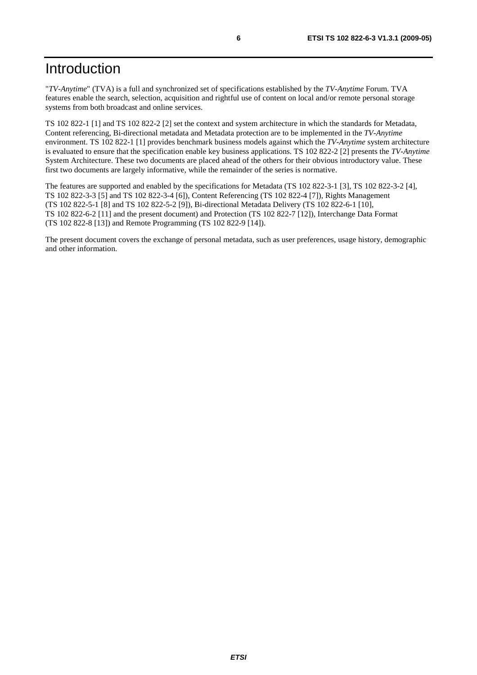## Introduction

"*TV-Anytime*" (TVA) is a full and synchronized set of specifications established by the *TV-Anytime* Forum. TVA features enable the search, selection, acquisition and rightful use of content on local and/or remote personal storage systems from both broadcast and online services.

TS 102 822-1 [1] and TS 102 822-2 [2] set the context and system architecture in which the standards for Metadata, Content referencing, Bi-directional metadata and Metadata protection are to be implemented in the *TV-Anytime* environment. TS 102 822-1 [1] provides benchmark business models against which the *TV-Anytime* system architecture is evaluated to ensure that the specification enable key business applications. TS 102 822-2 [2] presents the *TV-Anytime* System Architecture. These two documents are placed ahead of the others for their obvious introductory value. These first two documents are largely informative, while the remainder of the series is normative.

The features are supported and enabled by the specifications for Metadata (TS 102 822-3-1 [3], TS 102 822-3-2 [4], TS 102 822-3-3 [5] and TS 102 822-3-4 [6]), Content Referencing (TS 102 822-4 [7]), Rights Management (TS 102 822-5-1 [8] and TS 102 822-5-2 [9]), Bi-directional Metadata Delivery (TS 102 822-6-1 [10], TS 102 822-6-2 [11] and the present document) and Protection (TS 102 822-7 [12]), Interchange Data Format (TS 102 822-8 [13]) and Remote Programming (TS 102 822-9 [14]).

The present document covers the exchange of personal metadata, such as user preferences, usage history, demographic and other information.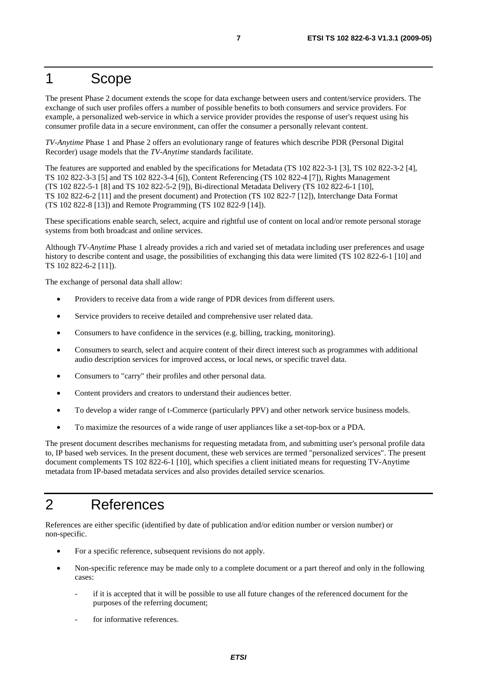### 1 Scope

The present Phase 2 document extends the scope for data exchange between users and content/service providers. The exchange of such user profiles offers a number of possible benefits to both consumers and service providers. For example, a personalized web-service in which a service provider provides the response of user's request using his consumer profile data in a secure environment, can offer the consumer a personally relevant content.

*TV-Anytime* Phase 1 and Phase 2 offers an evolutionary range of features which describe PDR (Personal Digital Recorder) usage models that the *TV-Anytime* standards facilitate.

The features are supported and enabled by the specifications for Metadata (TS 102 822-3-1 [3], TS 102 822-3-2 [4], TS 102 822-3-3 [5] and TS 102 822-3-4 [6]), Content Referencing (TS 102 822-4 [7]), Rights Management (TS 102 822-5-1 [8] and TS 102 822-5-2 [9]), Bi-directional Metadata Delivery (TS 102 822-6-1 [10], TS 102 822-6-2 [11] and the present document) and Protection (TS 102 822-7 [12]), Interchange Data Format (TS 102 822-8 [13]) and Remote Programming (TS 102 822-9 [14]).

These specifications enable search, select, acquire and rightful use of content on local and/or remote personal storage systems from both broadcast and online services.

Although *TV-Anytime* Phase 1 already provides a rich and varied set of metadata including user preferences and usage history to describe content and usage, the possibilities of exchanging this data were limited (TS 102 822-6-1 [10] and TS 102 822-6-2 [11]).

The exchange of personal data shall allow:

- Providers to receive data from a wide range of PDR devices from different users.
- Service providers to receive detailed and comprehensive user related data.
- Consumers to have confidence in the services (e.g. billing, tracking, monitoring).
- Consumers to search, select and acquire content of their direct interest such as programmes with additional audio description services for improved access, or local news, or specific travel data.
- Consumers to "carry" their profiles and other personal data.
- Content providers and creators to understand their audiences better.
- To develop a wider range of t-Commerce (particularly PPV) and other network service business models.
- To maximize the resources of a wide range of user appliances like a set-top-box or a PDA.

The present document describes mechanisms for requesting metadata from, and submitting user's personal profile data to, IP based web services. In the present document, these web services are termed "personalized services". The present document complements TS 102 822-6-1 [10], which specifies a client initiated means for requesting TV-Anytime metadata from IP-based metadata services and also provides detailed service scenarios.

### 2 References

References are either specific (identified by date of publication and/or edition number or version number) or non-specific.

- For a specific reference, subsequent revisions do not apply.
- Non-specific reference may be made only to a complete document or a part thereof and only in the following cases:
	- if it is accepted that it will be possible to use all future changes of the referenced document for the purposes of the referring document;
	- for informative references.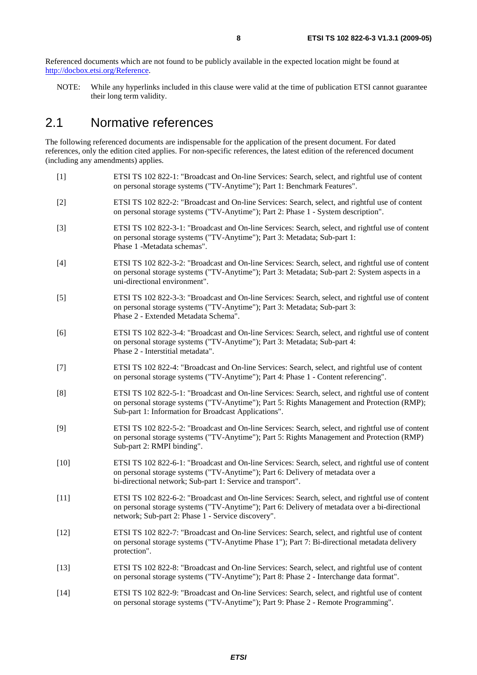Referenced documents which are not found to be publicly available in the expected location might be found at [http://docbox.etsi.org/Reference.](http://docbox.etsi.org/Reference)

NOTE: While any hyperlinks included in this clause were valid at the time of publication ETSI cannot guarantee their long term validity.

### 2.1 Normative references

The following referenced documents are indispensable for the application of the present document. For dated references, only the edition cited applies. For non-specific references, the latest edition of the referenced document (including any amendments) applies.

- [1] ETSI TS 102 822-1: "Broadcast and On-line Services: Search, select, and rightful use of content on personal storage systems ("TV-Anytime"); Part 1: Benchmark Features".
- [2] ETSI TS 102 822-2: "Broadcast and On-line Services: Search, select, and rightful use of content on personal storage systems ("TV-Anytime"); Part 2: Phase 1 - System description".
- [3] ETSI TS 102 822-3-1: "Broadcast and On-line Services: Search, select, and rightful use of content on personal storage systems ("TV-Anytime"); Part 3: Metadata; Sub-part 1: Phase 1 -Metadata schemas".
- [4] ETSI TS 102 822-3-2: "Broadcast and On-line Services: Search, select, and rightful use of content on personal storage systems ("TV-Anytime"); Part 3: Metadata; Sub-part 2: System aspects in a uni-directional environment".
- [5] ETSI TS 102 822-3-3: "Broadcast and On-line Services: Search, select, and rightful use of content on personal storage systems ("TV-Anytime"); Part 3: Metadata; Sub-part 3: Phase 2 - Extended Metadata Schema".
- [6] ETSI TS 102 822-3-4: "Broadcast and On-line Services: Search, select, and rightful use of content on personal storage systems ("TV-Anytime"); Part 3: Metadata; Sub-part 4: Phase 2 - Interstitial metadata".
- [7] ETSI TS 102 822-4: "Broadcast and On-line Services: Search, select, and rightful use of content on personal storage systems ("TV-Anytime"); Part 4: Phase 1 - Content referencing".
- [8] ETSI TS 102 822-5-1: "Broadcast and On-line Services: Search, select, and rightful use of content on personal storage systems ("TV-Anytime"); Part 5: Rights Management and Protection (RMP); Sub-part 1: Information for Broadcast Applications".
- [9] ETSI TS 102 822-5-2: "Broadcast and On-line Services: Search, select, and rightful use of content on personal storage systems ("TV-Anytime"); Part 5: Rights Management and Protection (RMP) Sub-part 2: RMPI binding".
- [10] ETSI TS 102 822-6-1: "Broadcast and On-line Services: Search, select, and rightful use of content on personal storage systems ("TV-Anytime"); Part 6: Delivery of metadata over a bi-directional network; Sub-part 1: Service and transport".
- [11] ETSI TS 102 822-6-2: "Broadcast and On-line Services: Search, select, and rightful use of content on personal storage systems ("TV-Anytime"); Part 6: Delivery of metadata over a bi-directional network; Sub-part 2: Phase 1 - Service discovery".
- [12] ETSI TS 102 822-7: "Broadcast and On-line Services: Search, select, and rightful use of content on personal storage systems ("TV-Anytime Phase 1"); Part 7: Bi-directional metadata delivery protection".
- [13] ETSI TS 102 822-8: "Broadcast and On-line Services: Search, select, and rightful use of content on personal storage systems ("TV-Anytime"); Part 8: Phase 2 - Interchange data format".
- [14] ETSI TS 102 822-9: "Broadcast and On-line Services: Search, select, and rightful use of content on personal storage systems ("TV-Anytime"); Part 9: Phase 2 - Remote Programming".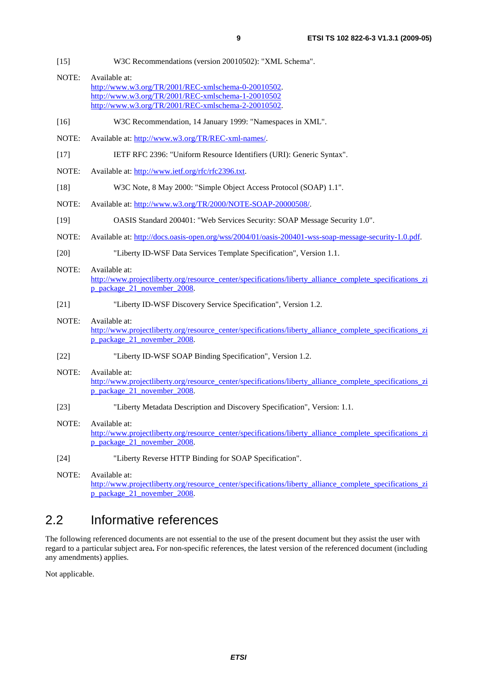- [15] W3C Recommendations (version 20010502): "XML Schema".
- NOTE: Available at: [http://www.w3.org/TR/2001/REC-xmlschema-0-20010502.](http://www.w3.org/TR/2001/REC-xmlschema-0-20010502) <http://www.w3.org/TR/2001/REC-xmlschema-1-20010502> [http://www.w3.org/TR/2001/REC-xmlschema-2-20010502.](http://www.w3.org/XML/Schema)
- [16] W3C Recommendation, 14 January 1999: "Namespaces in XML".
- NOTE: Available at:<http://www.w3.org/TR/REC-xml-names/>.
- [17] IETF RFC 2396: "Uniform Resource Identifiers (URI): Generic Syntax".
- NOTE: Available at: [http://www.ietf.org/rfc/rfc2396.txt.](http://www.ietf.org/rfc/rfc2396.txt)
- [18] W3C Note, 8 May 2000: "Simple Object Access Protocol (SOAP) 1.1".
- NOTE: Available at:<http://www.w3.org/TR/2000/NOTE-SOAP-20000508/>.
- [19] OASIS Standard 200401: "Web Services Security: SOAP Message Security 1.0".
- NOTE: Available at: [http://docs.oasis-open.org/wss/2004/01/oasis-200401-wss-soap-message-security-1.0.pdf.](http://docs.oasis-open.org/wss/2004/01/oasis-200401-wss-soap-message-security-1.0.pdf)
- [20] "Liberty ID-WSF Data Services Template Specification", Version 1.1.
- NOTE: Available at: [http://www.projectliberty.org/resource\\_center/specifications/liberty\\_alliance\\_complete\\_specifications\\_zi](http://www.projectliberty.org/resource_center/specifications/liberty_alliance_complete_specifications_zip_package_21_november_2008) [p\\_package\\_21\\_november\\_2008.](http://www.projectliberty.org/resource_center/specifications/liberty_alliance_complete_specifications_zip_package_21_november_2008)
- [21] "Liberty ID-WSF Discovery Service Specification", Version 1.2.
- NOTE: Available at: [http://www.projectliberty.org/resource\\_center/specifications/liberty\\_alliance\\_complete\\_specifications\\_zi](http://www.projectliberty.org/resource_center/specifications/liberty_alliance_complete_specifications_zip_package_21_november_2008) [p\\_package\\_21\\_november\\_2008.](http://www.projectliberty.org/resource_center/specifications/liberty_alliance_complete_specifications_zip_package_21_november_2008)
- [22] "Liberty ID-WSF SOAP Binding Specification", Version 1.2.
- NOTE: Available at: [http://www.projectliberty.org/resource\\_center/specifications/liberty\\_alliance\\_complete\\_specifications\\_zi](http://www.projectliberty.org/resource_center/specifications/liberty_alliance_complete_specifications_zip_package_21_november_2008) [p\\_package\\_21\\_november\\_2008.](http://www.projectliberty.org/resource_center/specifications/liberty_alliance_complete_specifications_zip_package_21_november_2008)
- [23] "Liberty Metadata Description and Discovery Specification", Version: 1.1.
- NOTE: Available at: [http://www.projectliberty.org/resource\\_center/specifications/liberty\\_alliance\\_complete\\_specifications\\_zi](http://www.projectliberty.org/resource_center/specifications/liberty_alliance_complete_specifications_zip_package_21_november_2008) [p\\_package\\_21\\_november\\_2008.](http://www.projectliberty.org/resource_center/specifications/liberty_alliance_complete_specifications_zip_package_21_november_2008)
- [24] "Liberty Reverse HTTP Binding for SOAP Specification".

### 2.2 Informative references

The following referenced documents are not essential to the use of the present document but they assist the user with regard to a particular subject area**.** For non-specific references, the latest version of the referenced document (including any amendments) applies.

Not applicable.

NOTE: Available at: [http://www.projectliberty.org/resource\\_center/specifications/liberty\\_alliance\\_complete\\_specifications\\_zi](http://www.projectliberty.org/resource_center/specifications/liberty_alliance_complete_specifications_zip_package_21_november_2008) [p\\_package\\_21\\_november\\_2008.](http://www.projectliberty.org/resource_center/specifications/liberty_alliance_complete_specifications_zip_package_21_november_2008)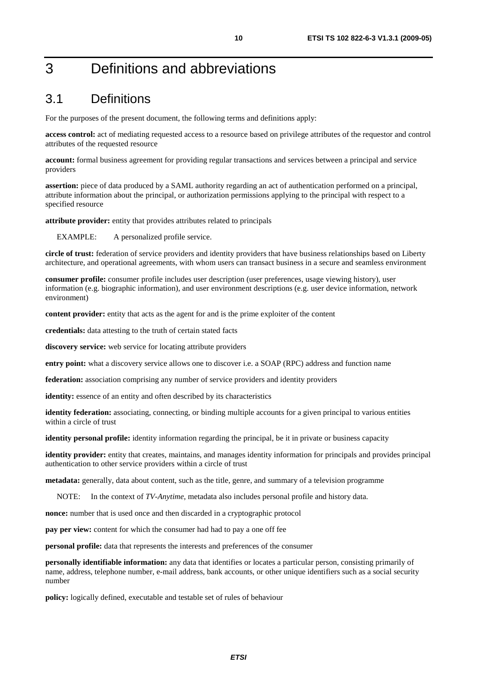## 3 Definitions and abbreviations

### 3.1 Definitions

For the purposes of the present document, the following terms and definitions apply:

**access control:** act of mediating requested access to a resource based on privilege attributes of the requestor and control attributes of the requested resource

**account:** formal business agreement for providing regular transactions and services between a principal and service providers

**assertion:** piece of data produced by a SAML authority regarding an act of authentication performed on a principal, attribute information about the principal, or authorization permissions applying to the principal with respect to a specified resource

**attribute provider:** entity that provides attributes related to principals

EXAMPLE: A personalized profile service.

**circle of trust:** federation of service providers and identity providers that have business relationships based on Liberty architecture, and operational agreements, with whom users can transact business in a secure and seamless environment

**consumer profile:** consumer profile includes user description (user preferences, usage viewing history), user information (e.g. biographic information), and user environment descriptions (e.g. user device information, network environment)

**content provider:** entity that acts as the agent for and is the prime exploiter of the content

**credentials:** data attesting to the truth of certain stated facts

**discovery service:** web service for locating attribute providers

**entry point:** what a discovery service allows one to discover i.e. a SOAP (RPC) address and function name

**federation:** association comprising any number of service providers and identity providers

**identity:** essence of an entity and often described by its characteristics

**identity federation:** associating, connecting, or binding multiple accounts for a given principal to various entities within a circle of trust

**identity personal profile:** identity information regarding the principal, be it in private or business capacity

**identity provider:** entity that creates, maintains, and manages identity information for principals and provides principal authentication to other service providers within a circle of trust

**metadata:** generally, data about content, such as the title, genre, and summary of a television programme

NOTE: In the context of *TV-Anytime*, metadata also includes personal profile and history data.

**nonce:** number that is used once and then discarded in a cryptographic protocol

**pay per view:** content for which the consumer had had to pay a one off fee

**personal profile:** data that represents the interests and preferences of the consumer

**personally identifiable information:** any data that identifies or locates a particular person, consisting primarily of name, address, telephone number, e-mail address, bank accounts, or other unique identifiers such as a social security number

**policy:** logically defined, executable and testable set of rules of behaviour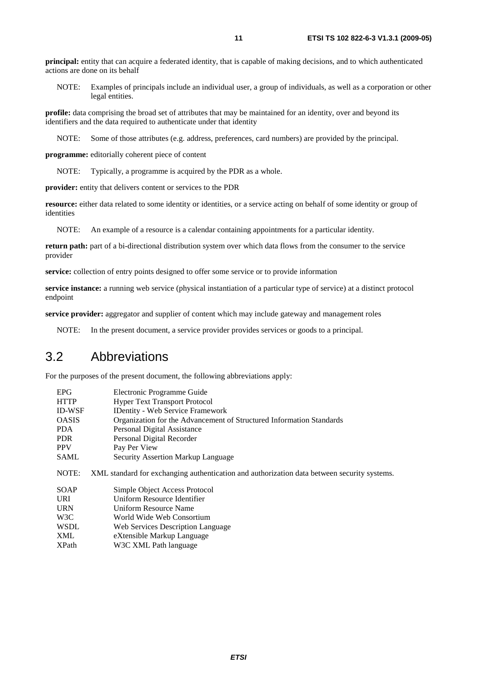**principal:** entity that can acquire a federated identity, that is capable of making decisions, and to which authenticated actions are done on its behalf

NOTE: Examples of principals include an individual user, a group of individuals, as well as a corporation or other legal entities.

**profile:** data comprising the broad set of attributes that may be maintained for an identity, over and beyond its identifiers and the data required to authenticate under that identity

NOTE: Some of those attributes (e.g. address, preferences, card numbers) are provided by the principal.

**programme:** editorially coherent piece of content

NOTE: Typically, a programme is acquired by the PDR as a whole.

**provider:** entity that delivers content or services to the PDR

**resource:** either data related to some identity or identities, or a service acting on behalf of some identity or group of identities

NOTE: An example of a resource is a calendar containing appointments for a particular identity.

**return path:** part of a bi-directional distribution system over which data flows from the consumer to the service provider

**service:** collection of entry points designed to offer some service or to provide information

**service instance:** a running web service (physical instantiation of a particular type of service) at a distinct protocol endpoint

**service provider:** aggregator and supplier of content which may include gateway and management roles

NOTE: In the present document, a service provider provides services or goods to a principal.

#### 3.2 Abbreviations

For the purposes of the present document, the following abbreviations apply:

| <b>EPG</b>    | Electronic Programme Guide                                                                  |  |
|---------------|---------------------------------------------------------------------------------------------|--|
| <b>HTTP</b>   | <b>Hyper Text Transport Protocol</b>                                                        |  |
| <b>ID-WSF</b> | <b>IDentity - Web Service Framework</b>                                                     |  |
| <b>OASIS</b>  | Organization for the Advancement of Structured Information Standards                        |  |
| <b>PDA</b>    | Personal Digital Assistance                                                                 |  |
| <b>PDR</b>    | Personal Digital Recorder                                                                   |  |
| <b>PPV</b>    | Pay Per View                                                                                |  |
| <b>SAML</b>   | Security Assertion Markup Language                                                          |  |
| NOTE:         | XML standard for exchanging authentication and authorization data between security systems. |  |
| <b>SOAP</b>   | Simple Object Access Protocol                                                               |  |
| <b>URI</b>    | Uniform Resource Identifier                                                                 |  |
| <b>URN</b>    | Uniform Resource Name                                                                       |  |
| W3C           | World Wide Web Consortium                                                                   |  |
| <b>WSDL</b>   | Web Services Description Language                                                           |  |
| <b>XML</b>    | eXtensible Markup Language                                                                  |  |
| <b>XPath</b>  | W3C XML Path language                                                                       |  |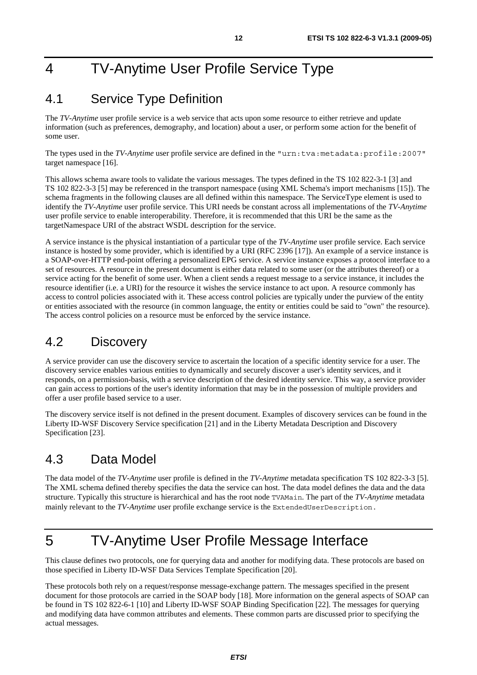## 4 TV-Anytime User Profile Service Type

### 4.1 Service Type Definition

The *TV-Anytime* user profile service is a web service that acts upon some resource to either retrieve and update information (such as preferences, demography, and location) about a user, or perform some action for the benefit of some user.

The types used in the *TV-Anytime* user profile service are defined in the "urn:tva:metadata:profile:2007" target namespace [16].

This allows schema aware tools to validate the various messages. The types defined in the TS 102 822-3-1 [3] and TS 102 822-3-3 [5] may be referenced in the transport namespace (using XML Schema's import mechanisms [15]). The schema fragments in the following clauses are all defined within this namespace. The ServiceType element is used to identify the *TV-Anytime* user profile service. This URI needs be constant across all implementations of the *TV-Anytime* user profile service to enable interoperability. Therefore, it is recommended that this URI be the same as the targetNamespace URI of the abstract WSDL description for the service.

A service instance is the physical instantiation of a particular type of the *TV-Anytime* user profile service. Each service instance is hosted by some provider, which is identified by a URI (RFC 2396 [17]). An example of a service instance is a SOAP-over-HTTP end-point offering a personalized EPG service. A service instance exposes a protocol interface to a set of resources. A resource in the present document is either data related to some user (or the attributes thereof) or a service acting for the benefit of some user. When a client sends a request message to a service instance, it includes the resource identifier (i.e. a URI) for the resource it wishes the service instance to act upon. A resource commonly has access to control policies associated with it. These access control policies are typically under the purview of the entity or entities associated with the resource (in common language, the entity or entities could be said to "own" the resource). The access control policies on a resource must be enforced by the service instance.

### 4.2 Discovery

A service provider can use the discovery service to ascertain the location of a specific identity service for a user. The discovery service enables various entities to dynamically and securely discover a user's identity services, and it responds, on a permission-basis, with a service description of the desired identity service. This way, a service provider can gain access to portions of the user's identity information that may be in the possession of multiple providers and offer a user profile based service to a user.

The discovery service itself is not defined in the present document. Examples of discovery services can be found in the Liberty ID-WSF Discovery Service specification [21] and in the Liberty Metadata Description and Discovery Specification [23].

### 4.3 Data Model

The data model of the *TV-Anytime* user profile is defined in the *TV-Anytime* metadata specification TS 102 822-3-3 [5]. The XML schema defined thereby specifies the data the service can host. The data model defines the data and the data structure. Typically this structure is hierarchical and has the root node TVAMain. The part of the *TV-Anytime* metadata mainly relevant to the *TV-Anytime* user profile exchange service is the ExtendedUserDescription.

## 5 TV-Anytime User Profile Message Interface

This clause defines two protocols, one for querying data and another for modifying data. These protocols are based on those specified in Liberty ID-WSF Data Services Template Specification [20].

These protocols both rely on a request/response message-exchange pattern. The messages specified in the present document for those protocols are carried in the SOAP body [18]. More information on the general aspects of SOAP can be found in TS 102 822-6-1 [10] and Liberty ID-WSF SOAP Binding Specification [22]. The messages for querying and modifying data have common attributes and elements. These common parts are discussed prior to specifying the actual messages.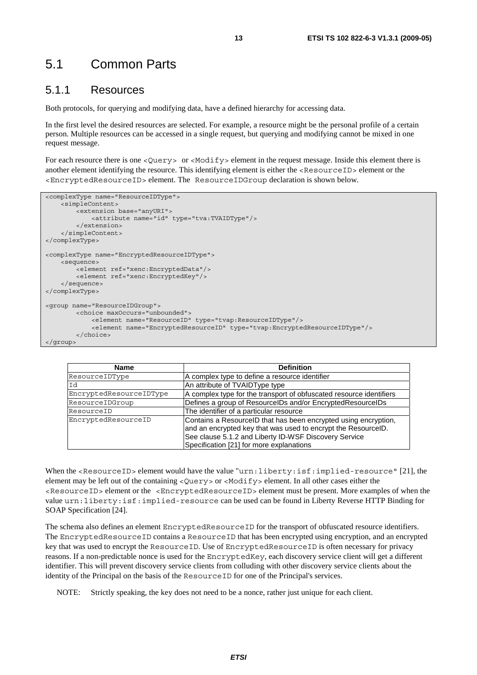### 5.1 Common Parts

#### 5.1.1 Resources

Both protocols, for querying and modifying data, have a defined hierarchy for accessing data.

In the first level the desired resources are selected. For example, a resource might be the personal profile of a certain person. Multiple resources can be accessed in a single request, but querying and modifying cannot be mixed in one request message.

For each resource there is one <Query> or <Modify> element in the request message. Inside this element there is another element identifying the resource. This identifying element is either the <ResourceID> element or the <EncryptedResourceID> element. The ResourceIDGroup declaration is shown below.

```
<complexType name="ResourceIDType"> 
     <simpleContent> 
         <extension base="anyURI"> 
             <attribute name="id" type="tva:TVAIDType"/> 
         </extension> 
     </simpleContent> 
</complexType> 
<complexType name="EncryptedResourceIDType"> 
     <sequence> 
         <element ref="xenc:EncryptedData"/> 
         <element ref="xenc:EncryptedKey"/> 
     </sequence> 
</complexType> 
<group name="ResourceIDGroup"> 
         <choice maxOccurs="unbounded"> 
              <element name="ResourceID" type="tvap:ResourceIDType"/> 
              <element name="EncryptedResourceID" type="tvap:EncryptedResourceIDType"/> 
         </choice> 
</group>
```

| <b>Name</b>             | <b>Definition</b>                                                                                                                                                                                                                     |
|-------------------------|---------------------------------------------------------------------------------------------------------------------------------------------------------------------------------------------------------------------------------------|
| ResourceIDType          | A complex type to define a resource identifier                                                                                                                                                                                        |
| Id                      | An attribute of TVAIDType type                                                                                                                                                                                                        |
| EncryptedResourceIDType | A complex type for the transport of obfuscated resource identifiers                                                                                                                                                                   |
| ResourceIDGroup         | Defines a group of ResourcelDs and/or EncryptedResourceIDs                                                                                                                                                                            |
| ResourceID              | The identifier of a particular resource                                                                                                                                                                                               |
| EncryptedResourceID     | Contains a ResourceID that has been encrypted using encryption,<br>and an encrypted key that was used to encrypt the ResourceID.<br>See clause 5.1.2 and Liberty ID-WSF Discovery Service<br>Specification [21] for more explanations |

When the <ResourceID> element would have the value "urn:liberty:isf:implied-resource" [21], the element may be left out of the containing <Query> or <Modify> element. In all other cases either the <ResourceID> element or the <EncryptedResourceID> element must be present. More examples of when the value urn:liberty:isf:implied-resource can be used can be found in Liberty Reverse HTTP Binding for SOAP Specification [24].

The schema also defines an element EncryptedResourceID for the transport of obfuscated resource identifiers. The EncryptedResourceID contains a ResourceID that has been encrypted using encryption, and an encrypted key that was used to encrypt the ResourceID. Use of EncryptedResourceID is often necessary for privacy reasons. If a non-predictable nonce is used for the EncryptedKey, each discovery service client will get a different identifier. This will prevent discovery service clients from colluding with other discovery service clients about the identity of the Principal on the basis of the ResourceID for one of the Principal's services.

NOTE: Strictly speaking, the key does not need to be a nonce, rather just unique for each client.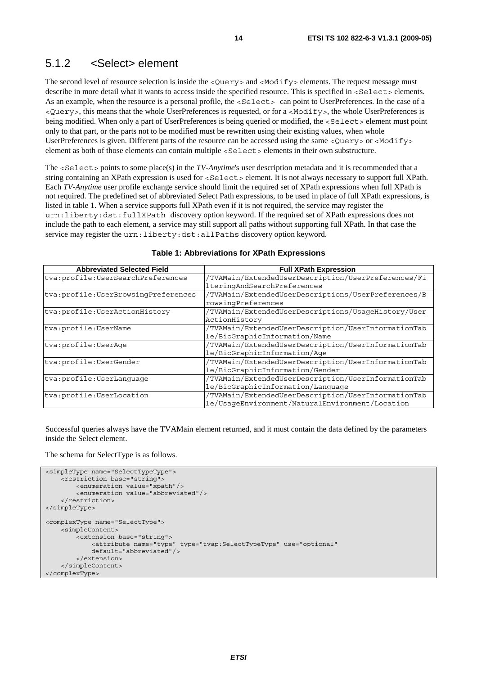#### 5.1.2 <Select> element

The second level of resource selection is inside the <Query> and <Modify> elements. The request message must describe in more detail what it wants to access inside the specified resource. This is specified in  $\leq$ Select  $>$  elements. As an example, when the resource is a personal profile, the <Select> can point to UserPreferences. In the case of a <Query>, this means that the whole UserPreferences is requested, or for a <Modify>, the whole UserPreferences is being modified. When only a part of UserPreferences is being queried or modified, the <Select> element must point only to that part, or the parts not to be modified must be rewritten using their existing values, when whole UserPreferences is given. Different parts of the resource can be accessed using the same <Query> or <Modify> element as both of those elements can contain multiple <Select> elements in their own substructure.

The <Select> points to some place(s) in the *TV-Anytime*'s user description metadata and it is recommended that a string containing an XPath expression is used for <Select> element. It is not always necessary to support full XPath. Each *TV-Anytime* user profile exchange service should limit the required set of XPath expressions when full XPath is not required. The predefined set of abbreviated Select Path expressions, to be used in place of full XPath expressions, is listed in table 1. When a service supports full XPath even if it is not required, the service may register the urn:liberty:dst:fullXPath discovery option keyword. If the required set of XPath expressions does not include the path to each element, a service may still support all paths without supporting full XPath. In that case the service may register the urn:liberty:dst:allPaths discovery option keyword.

| <b>Abbreviated Selected Field</b>     | <b>Full XPath Expression</b>                        |
|---------------------------------------|-----------------------------------------------------|
| tva: profile: UserSearchPreferences   | /TVAMain/ExtendedUserDescription/UserPreferences/Fi |
|                                       | lteringAndSearchPreferences                         |
| tva: profile: UserBrowsingPreferences | /TVAMain/ExtendedUserDescriptions/UserPreferences/B |
|                                       | rowsingPreferences                                  |
| tva: profile: UserActionHistory       | /TVAMain/ExtendedUserDescriptions/UsaqeHistory/User |
|                                       | ActionHistory                                       |
| tva: profile: UserName                | /TVAMain/ExtendedUserDescription/UserInformationTab |
|                                       | le/BioGraphicInformation/Name                       |
| tva: profile: UserAqe                 | /TVAMain/ExtendedUserDescription/UserInformationTab |
|                                       | le/BioGraphicInformation/Age                        |
| tva: profile: UserGender              | /TVAMain/ExtendedUserDescription/UserInformationTab |
|                                       | le/BioGraphicInformation/Gender                     |
| tva: profile: UserLanquaqe            | /TVAMain/ExtendedUserDescription/UserInformationTab |
|                                       | le/BioGraphicInformation/Lanquaqe                   |
| tva: profile: UserLocation            | /TVAMain/ExtendedUserDescription/UserInformationTab |
|                                       | le/UsageEnvironment/NaturalEnvironment/Location     |

#### **Table 1: Abbreviations for XPath Expressions**

Successful queries always have the TVAMain element returned, and it must contain the data defined by the parameters inside the Select element.

The schema for SelectType is as follows.

```
<simpleType name="SelectTypeType"> 
     <restriction base="string"> 
         <enumeration value="xpath"/> 
         <enumeration value="abbreviated"/> 
     </restriction> 
</simpleType> 
<complexType name="SelectType"> 
     <simpleContent> 
         <extension base="string"> 
              <attribute name="type" type="tvap:SelectTypeType" use="optional" 
              default="abbreviated"/> 
         </extension> 
     </simpleContent> 
</complexType>
```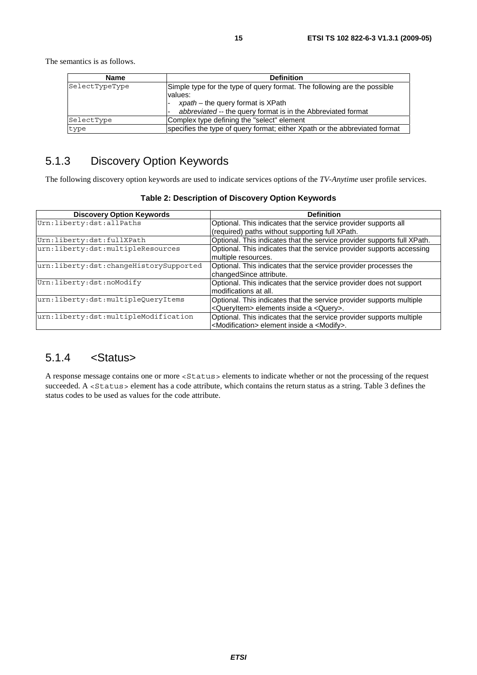The semantics is as follows.

| <b>Name</b>    | <b>Definition</b>                                                                                                           |
|----------------|-----------------------------------------------------------------------------------------------------------------------------|
| SelectTypeType | Simple type for the type of query format. The following are the possible<br>values:<br>$x$ path – the query format is XPath |
|                | abbreviated -- the query format is in the Abbreviated format                                                                |
| SelectType     | Complex type defining the "select" element                                                                                  |
| type           | specifies the type of query format; either Xpath or the abbreviated format                                                  |

### 5.1.3 Discovery Option Keywords

The following discovery option keywords are used to indicate services options of the *TV-Anytime* user profile services.

| <b>Discovery Option Keywords</b>       | <b>Definition</b>                                                       |
|----------------------------------------|-------------------------------------------------------------------------|
| Urn:liberty:dst:allPaths               | Optional. This indicates that the service provider supports all         |
|                                        | (required) paths without supporting full XPath.                         |
| Urn:liberty:dst:fullXPath              | Optional. This indicates that the service provider supports full XPath. |
| urn:liberty:dst:multipleResources      | Optional. This indicates that the service provider supports accessing   |
|                                        | multiple resources.                                                     |
| urn:liberty:dst:changeHistorySupported | Optional. This indicates that the service provider processes the        |
|                                        | changedSince attribute.                                                 |
| Urn:liberty:dst:noModify               | Optional. This indicates that the service provider does not support     |
|                                        | modifications at all.                                                   |
| urn:liberty:dst:multipleQueryItems     | Optional. This indicates that the service provider supports multiple    |
|                                        | <queryitem> elements inside a <query>.</query></queryitem>              |
| urn:liberty:dst:multipleModification   | Optional. This indicates that the service provider supports multiple    |
|                                        | <modification> element inside a <modify>.</modify></modification>       |

**Table 2: Description of Discovery Option Keywords** 

### 5.1.4 <Status>

A response message contains one or more <Status> elements to indicate whether or not the processing of the request succeeded. A <Status> element has a code attribute, which contains the return status as a string. Table 3 defines the status codes to be used as values for the code attribute.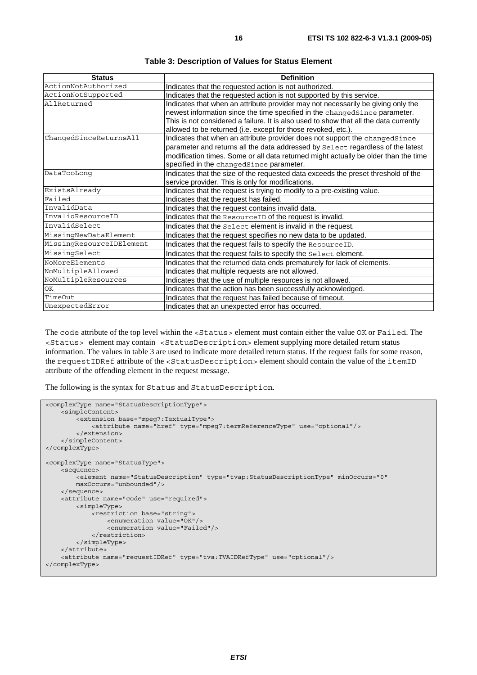| <b>Status</b>            | <b>Definition</b>                                                                                                                                              |
|--------------------------|----------------------------------------------------------------------------------------------------------------------------------------------------------------|
| ActionNotAuthorized      | Indicates that the requested action is not authorized.                                                                                                         |
| ActionNotSupported       | Indicates that the requested action is not supported by this service.                                                                                          |
| AllReturned              | Indicates that when an attribute provider may not necessarily be giving only the<br>newest information since the time specified in the changedSince parameter. |
|                          | This is not considered a failure. It is also used to show that all the data currently<br>allowed to be returned (i.e. except for those revoked, etc.).         |
| ChangedSinceReturnsAll   | Indicates that when an attribute provider does not support the changedSince<br>parameter and returns all the data addressed by Select regardless of the latest |
|                          | modification times. Some or all data returned might actually be older than the time<br>specified in the changedSince parameter.                                |
| DataTooLong              | Indicates that the size of the requested data exceeds the preset threshold of the<br>service provider. This is only for modifications.                         |
| ExistsAlready            | Indicates that the request is trying to modify to a pre-existing value.                                                                                        |
| Failed                   | Indicates that the request has failed.                                                                                                                         |
| InvalidData              | Indicates that the request contains invalid data.                                                                                                              |
| InvalidResourceID        | Indicates that the Resource ID of the request is invalid.                                                                                                      |
| InvalidSelect            | Indicates that the Select element is invalid in the request.                                                                                                   |
| MissingNewDataElement    | Indicates that the request specifies no new data to be updated.                                                                                                |
| MissingResourceIDElement | Indicates that the request fails to specify the ResourceID.                                                                                                    |
| MissingSelect            | Indicates that the request fails to specify the Select element.                                                                                                |
| NoMoreElements           | Indicates that the returned data ends prematurely for lack of elements.                                                                                        |
| NoMultipleAllowed        | Indicates that multiple requests are not allowed.                                                                                                              |
| NoMultipleResources      | Indicates that the use of multiple resources is not allowed.                                                                                                   |
| ОK                       | Indicates that the action has been successfully acknowledged.                                                                                                  |
| TimeOut                  | Indicates that the request has failed because of timeout.                                                                                                      |
| UnexpectedError          | Indicates that an unexpected error has occurred.                                                                                                               |

**Table 3: Description of Values for Status Element** 

The code attribute of the top level within the <Status> element must contain either the value OK or Failed. The <Status> element may contain <StatusDescription> element supplying more detailed return status information. The values in table 3 are used to indicate more detailed return status. If the request fails for some reason, the requestIDRef attribute of the <StatusDescription> element should contain the value of the itemID attribute of the offending element in the request message.

The following is the syntax for Status and StatusDescription.

```
<complexType name="StatusDescriptionType"> 
     <simpleContent> 
        -<br><extension base="mpeg7:TextualType">
              <attribute name="href" type="mpeg7:termReferenceType" use="optional"/> 
         </extension> 
     </simpleContent> 
</complexType> 
<complexType name="StatusType"> 
     <sequence> 
        .<br><element name="StatusDescription" type="tvap:StatusDescriptionType" minOccurs="0"
         maxOccurs="unbounded"/> 
     </sequence> 
     <attribute name="code" use="required"> 
         <simpleType> 
              <restriction base="string"> 
                  <enumeration value="OK"/> 
                  <enumeration value="Failed"/> 
             \langle/restriction>
         </simpleType> 
     </attribute> 
     <attribute name="requestIDRef" type="tva:TVAIDRefType" use="optional"/> 
</complexType>
```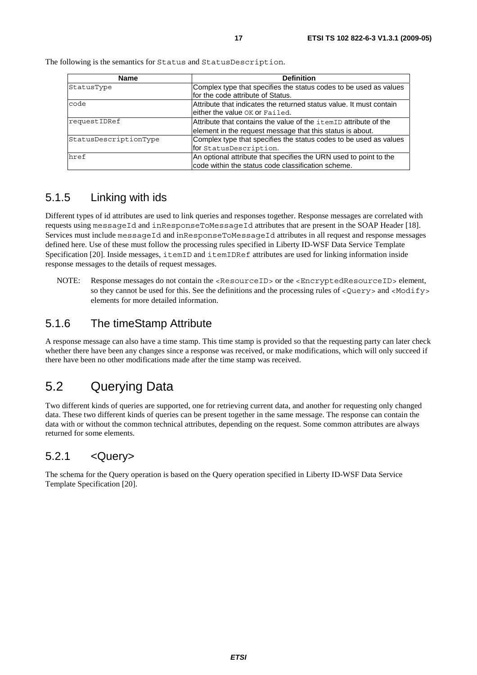| <b>Name</b>           | <b>Definition</b>                                                                                                             |
|-----------------------|-------------------------------------------------------------------------------------------------------------------------------|
| StatusType            | Complex type that specifies the status codes to be used as values<br>for the code attribute of Status.                        |
| code                  | Attribute that indicates the returned status value. It must contain<br>either the value OK or Failed.                         |
| requestIDRef          | Attribute that contains the value of the itemID attribute of the<br>element in the request message that this status is about. |
| StatusDescriptionType | Complex type that specifies the status codes to be used as values<br>for StatusDescription.                                   |
| href                  | An optional attribute that specifies the URN used to point to the<br>code within the status code classification scheme.       |

The following is the semantics for Status and StatusDescription.

### 5.1.5 Linking with ids

Different types of id attributes are used to link queries and responses together. Response messages are correlated with requests using messageId and inResponseToMessageId attributes that are present in the SOAP Header [18]. Services must include messageId and inResponseToMessageId attributes in all request and response messages defined here. Use of these must follow the processing rules specified in Liberty ID-WSF Data Service Template Specification [20]. Inside messages, itemID and itemIDRef attributes are used for linking information inside response messages to the details of request messages.

NOTE: Response messages do not contain the <ResourceID> or the <EncryptedResourceID> element, so they cannot be used for this. See the definitions and the processing rules of  $\langle Query \rangle$  and  $\langle Modify \rangle$ elements for more detailed information.

### 5.1.6 The timeStamp Attribute

A response message can also have a time stamp. This time stamp is provided so that the requesting party can later check whether there have been any changes since a response was received, or make modifications, which will only succeed if there have been no other modifications made after the time stamp was received.

### 5.2 Querying Data

Two different kinds of queries are supported, one for retrieving current data, and another for requesting only changed data. These two different kinds of queries can be present together in the same message. The response can contain the data with or without the common technical attributes, depending on the request. Some common attributes are always returned for some elements.

### 5.2.1 <Query>

The schema for the Query operation is based on the Query operation specified in Liberty ID-WSF Data Service Template Specification [20].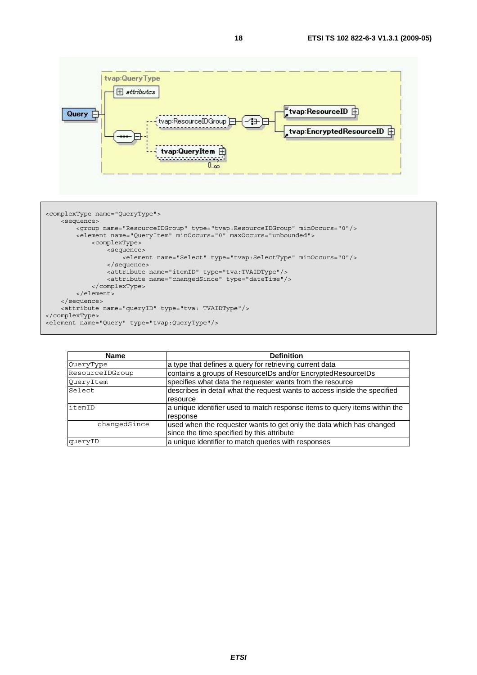



| <b>Name</b>     | <b>Definition</b>                                                          |
|-----------------|----------------------------------------------------------------------------|
| QueryType       | a type that defines a query for retrieving current data                    |
| ResourceIDGroup | contains a groups of ResourcelDs and/or EncryptedResourcelDs               |
| QueryItem       | specifies what data the requester wants from the resource                  |
| Select          | describes in detail what the request wants to access inside the specified  |
|                 | resource                                                                   |
| litemID         | a unique identifier used to match response items to query items within the |
|                 | response                                                                   |
| changedSince    | used when the requester wants to get only the data which has changed       |
|                 | since the time specified by this attribute                                 |
| queryID         | a unique identifier to match queries with responses                        |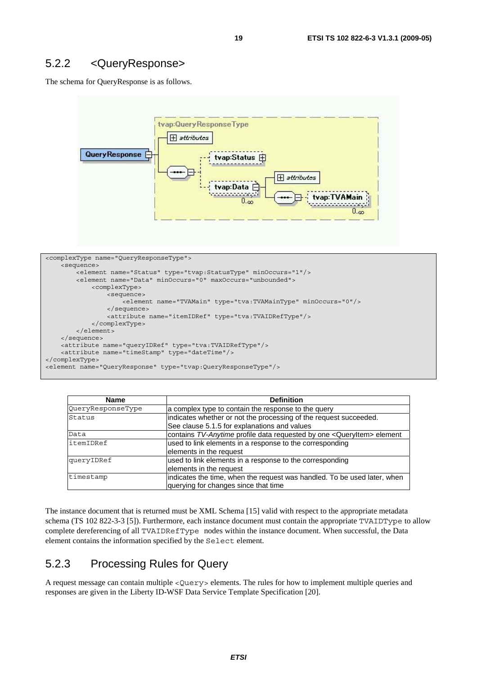#### 5.2.2 <QueryResponse>

The schema for QueryResponse is as follows.



```
<complexType name="QueryResponseType"> 
     <sequence> 
         <element name="Status" type="tvap:StatusType" minOccurs="1"/> 
         <element name="Data" minOccurs="0" maxOccurs="unbounded"> 
             <complexType> 
                  <sequence> 
                     .<br><element name="TVAMain" type="tva:TVAMainType" minOccurs="0"/>
                  </sequence> 
                  <attribute name="itemIDRef" type="tva:TVAIDRefType"/> 
             </complexType> 
         </element> 
     </sequence> 
     <attribute name="queryIDRef" type="tva:TVAIDRefType"/> 
     <attribute name="timeStamp" type="dateTime"/> 
</complexType> 
<element name="QueryResponse" type="tvap:QueryResponseType"/>
```

| <b>Name</b>       | <b>Definition</b>                                                                 |
|-------------------|-----------------------------------------------------------------------------------|
| QueryResponseType | a complex type to contain the response to the query                               |
| Status            | indicates whether or not the processing of the request succeeded.                 |
|                   | See clause 5.1.5 for explanations and values                                      |
| Data              | contains TV-Anytime profile data requested by one <queryitem> element</queryitem> |
| itemIDRef         | used to link elements in a response to the corresponding                          |
|                   | elements in the request                                                           |
| queryIDRef        | used to link elements in a response to the corresponding                          |
|                   | elements in the request                                                           |
| timestamp         | indicates the time, when the request was handled. To be used later, when          |
|                   | querying for changes since that time                                              |

The instance document that is returned must be XML Schema [15] valid with respect to the appropriate metadata schema (TS 102 822-3-3 [5]). Furthermore, each instance document must contain the appropriate TVAIDType to allow complete dereferencing of all TVAIDRefType nodes within the instance document. When successful, the Data element contains the information specified by the Select element.

#### 5.2.3 Processing Rules for Query

A request message can contain multiple <Query> elements. The rules for how to implement multiple queries and responses are given in the Liberty ID-WSF Data Service Template Specification [20].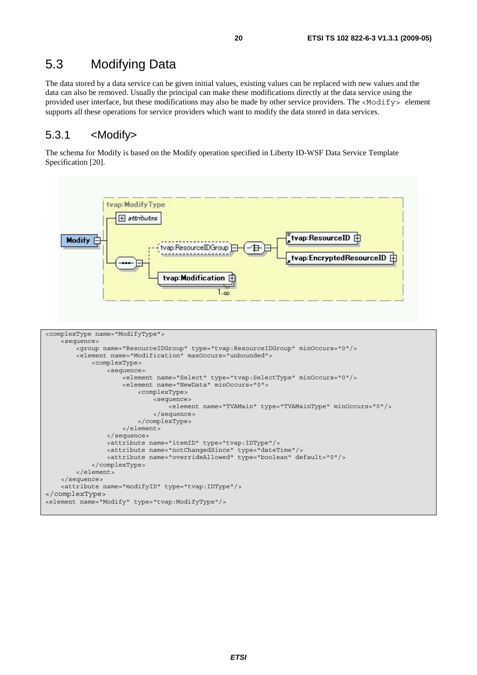### 5.3 Modifying Data

The data stored by a data service can be given initial values, existing values can be replaced with new values and the data can also be removed. Usually the principal can make these modifications directly at the data service using the provided user interface, but these modifications may also be made by other service providers. The <Modify> element supports all these operations for service providers which want to modify the data stored in data services.

#### 5.3.1 <Modify>

The schema for Modify is based on the Modify operation specified in Liberty ID-WSF Data Service Template Specification [20].

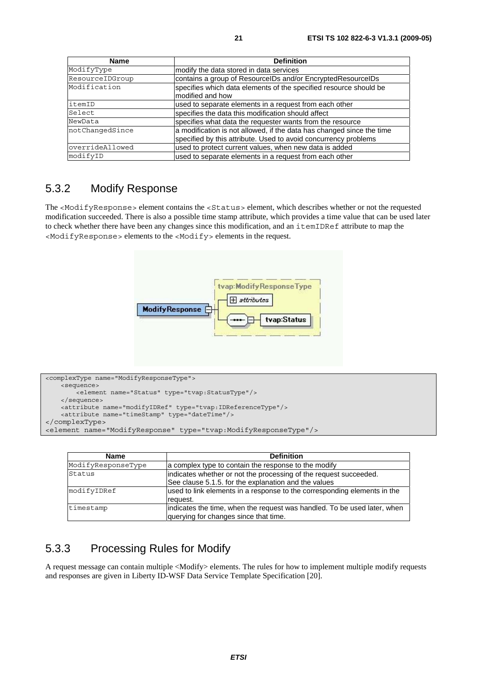| <b>Name</b>     | <b>Definition</b>                                                                                                                        |
|-----------------|------------------------------------------------------------------------------------------------------------------------------------------|
| ModifyType      | modify the data stored in data services                                                                                                  |
| ResourceIDGroup | contains a group of ResourceIDs and/or EncryptedResourceIDs                                                                              |
| Modification    | specifies which data elements of the specified resource should be<br>modified and how                                                    |
| itemID          | used to separate elements in a request from each other                                                                                   |
| Select          | specifies the data this modification should affect                                                                                       |
| NewData         | specifies what data the requester wants from the resource                                                                                |
| notChangedSince | a modification is not allowed, if the data has changed since the time<br>specified by this attribute. Used to avoid concurrency problems |
| overrideAllowed | used to protect current values, when new data is added                                                                                   |
| modifyID        | used to separate elements in a request from each other                                                                                   |

#### 5.3.2 Modify Response

The <ModifyResponse> element contains the <Status> element, which describes whether or not the requested modification succeeded. There is also a possible time stamp attribute, which provides a time value that can be used later to check whether there have been any changes since this modification, and an itemIDRef attribute to map the <ModifyResponse> elements to the <Modify> elements in the request.



```
<complexType name="ModifyResponseType"> 
    <sequence> 
        .<br><element name="Status" type="tvap:StatusType"/>
     </sequence> 
    <attribute name="modifyIDRef" type="tvap:IDReferenceType"/> 
    <attribute name="timeStamp" type="dateTime"/> 
</complexType> 
<element name="ModifyResponse" type="tvap:ModifyResponseType"/>
```

| <b>Name</b>        | <b>Definition</b>                                                                                                         |
|--------------------|---------------------------------------------------------------------------------------------------------------------------|
| ModifyResponseType | a complex type to contain the response to the modify                                                                      |
| Status             | indicates whether or not the processing of the request succeeded.<br>See clause 5.1.5. for the explanation and the values |
| modifyIDRef        | used to link elements in a response to the corresponding elements in the<br>request.                                      |
| timestamp          | indicates the time, when the request was handled. To be used later, when<br>querying for changes since that time.         |

### 5.3.3 Processing Rules for Modify

A request message can contain multiple <Modify> elements. The rules for how to implement multiple modify requests and responses are given in Liberty ID-WSF Data Service Template Specification [20].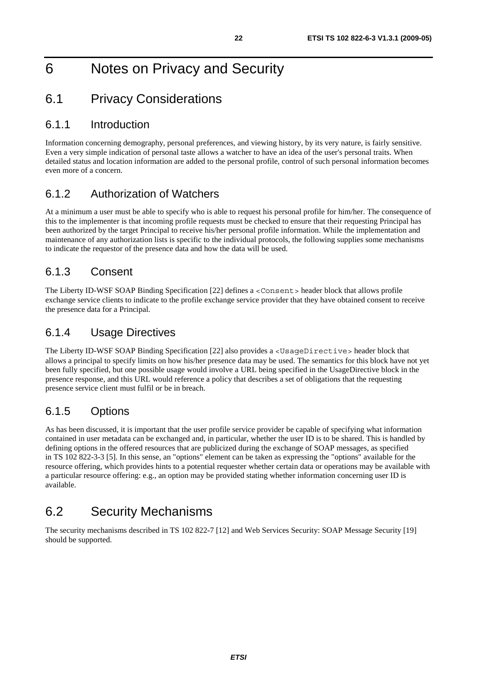## 6 Notes on Privacy and Security

### 6.1 Privacy Considerations

#### 6.1.1 Introduction

Information concerning demography, personal preferences, and viewing history, by its very nature, is fairly sensitive. Even a very simple indication of personal taste allows a watcher to have an idea of the user's personal traits. When detailed status and location information are added to the personal profile, control of such personal information becomes even more of a concern.

### 6.1.2 Authorization of Watchers

At a minimum a user must be able to specify who is able to request his personal profile for him/her. The consequence of this to the implementer is that incoming profile requests must be checked to ensure that their requesting Principal has been authorized by the target Principal to receive his/her personal profile information. While the implementation and maintenance of any authorization lists is specific to the individual protocols, the following supplies some mechanisms to indicate the requestor of the presence data and how the data will be used.

### 6.1.3 Consent

The Liberty ID-WSF SOAP Binding Specification [22] defines a <Consent> header block that allows profile exchange service clients to indicate to the profile exchange service provider that they have obtained consent to receive the presence data for a Principal.

### 6.1.4 Usage Directives

The Liberty ID-WSF SOAP Binding Specification [22] also provides a <UsageDirective> header block that allows a principal to specify limits on how his/her presence data may be used. The semantics for this block have not yet been fully specified, but one possible usage would involve a URL being specified in the UsageDirective block in the presence response, and this URL would reference a policy that describes a set of obligations that the requesting presence service client must fulfil or be in breach.

### 6.1.5 Options

As has been discussed, it is important that the user profile service provider be capable of specifying what information contained in user metadata can be exchanged and, in particular, whether the user ID is to be shared. This is handled by defining options in the offered resources that are publicized during the exchange of SOAP messages, as specified in TS 102 822-3-3 [5]. In this sense, an "options" element can be taken as expressing the "options" available for the resource offering, which provides hints to a potential requester whether certain data or operations may be available with a particular resource offering: e.g., an option may be provided stating whether information concerning user ID is available.

### 6.2 Security Mechanisms

The security mechanisms described in TS 102 822-7 [12] and Web Services Security: SOAP Message Security [19] should be supported.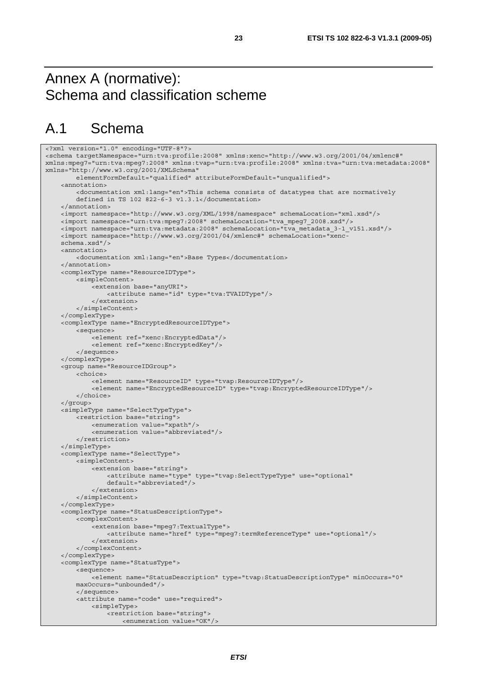## Annex A (normative): Schema and classification scheme

## A.1 Schema

```
<?xml version="1.0" encoding="UTF-8"?> 
<schema targetNamespace="urn:tva:profile:2008" xmlns:xenc="http://www.w3.org/2001/04/xmlenc#" 
xmlns:mpeg7="urn:tva:mpeg7:2008" xmlns:tvap="urn:tva:profile:2008" xmlns:tva="urn:tva:metadata:2008" 
xmlns="http://www.w3.org/2001/XMLSchema" 
         elementFormDefault="qualified" attributeFormDefault="unqualified"> 
     <annotation> 
         <documentation xml:lang="en">This schema consists of datatypes that are normatively 
         defined in TS 102 822-6-3 v1.3.1</documentation> 
     </annotation> 
     <import namespace="http://www.w3.org/XML/1998/namespace" schemaLocation="xml.xsd"/> 
     <import namespace="urn:tva:mpeg7:2008" schemaLocation="tva_mpeg7_2008.xsd"/> 
     <import namespace="urn:tva:metadata:2008" schemaLocation="tva_metadata_3-1_v151.xsd"/> 
     <import namespace="http://www.w3.org/2001/04/xmlenc#" schemaLocation="xenc- 
     schema.xsd"/> 
     <annotation> 
         <documentation xml:lang="en">Base Types</documentation> 
     </annotation> 
     <complexType name="ResourceIDType"> 
         <simpleContent> 
             <extension base="anyURI"> 
                  <attribute name="id" type="tva:TVAIDType"/> 
              </extension> 
         </simpleContent> 
     </complexType> 
     <complexType name="EncryptedResourceIDType"> 
         <sequence> 
              <element ref="xenc:EncryptedData"/> 
             <element ref="xenc:EncryptedKey"/> 
         </sequence> 
     </complexType> 
     <group name="ResourceIDGroup"> 
         <choice> 
             <element name="ResourceID" type="tvap:ResourceIDType"/> 
             <element name="EncryptedResourceID" type="tvap:EncryptedResourceIDType"/> 
         </choice> 
     </group> 
     <simpleType name="SelectTypeType"> 
         <restriction base="string"> 
             <enumeration value="xpath"/> 
              <enumeration value="abbreviated"/> 
         </restriction> 
     </simpleType> 
     <complexType name="SelectType"> 
         <simpleContent> 
             <extension base="string"> 
                  <attribute name="type" type="tvap:SelectTypeType" use="optional" 
                  default="abbreviated"/> 
              </extension> 
         </simpleContent> 
     </complexType> 
     <complexType name="StatusDescriptionType"> 
         <complexContent> 
              <extension base="mpeg7:TextualType"> 
                  <attribute name="href" type="mpeg7:termReferenceType" use="optional"/> 
             </extension> 
         </complexContent> 
     </complexType> 
     <complexType name="StatusType"> 
         <sequence> 
              <element name="StatusDescription" type="tvap:StatusDescriptionType" minOccurs="0" 
         maxOccurs="unbounded"/> 
         </sequence> 
         <attribute name="code" use="required"> 
              <simpleType> 
                  <restriction base="string"> 
                      <enumeration value="OK"/>
```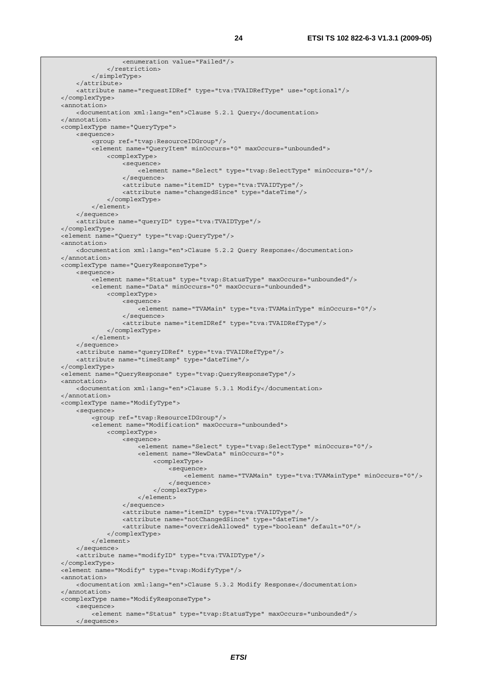```
 <enumeration value="Failed"/> 
              </restriction> 
          </simpleType> 
     </attribute> 
     <attribute name="requestIDRef" type="tva:TVAIDRefType" use="optional"/> 
 </complexType> 
 <annotation> 
     <documentation xml:lang="en">Clause 5.2.1 Query</documentation> 
 </annotation> 
 <complexType name="QueryType"> 
     <sequence> 
         <group ref="tvap:ResourceIDGroup"/> 
         <element name="QueryItem" minOccurs="0" maxOccurs="unbounded"> 
              <complexType> 
                  <sequence> 
                      <element name="Select" type="tvap:SelectType" minOccurs="0"/> 
                  </sequence> 
                  <attribute name="itemID" type="tva:TVAIDType"/> 
                  <attribute name="changedSince" type="dateTime"/> 
              </complexType> 
         </element> 
     </sequence> 
     <attribute name="queryID" type="tva:TVAIDType"/> 
 </complexType> 
 <element name="Query" type="tvap:QueryType"/> 
 <annotation> 
     <documentation xml:lang="en">Clause 5.2.2 Query Response</documentation> 
 </annotation> 
 <complexType name="QueryResponseType"> 
     <sequence> 
        -<br><element name="Status" type="tvap:StatusType" maxOccurs="unbounded"/>
         <element name="Data" minOccurs="0" maxOccurs="unbounded"> 
              <complexType> 
                  <sequence> 
                      <element name="TVAMain" type="tva:TVAMainType" minOccurs="0"/> 
                  </sequence> 
                  <attribute name="itemIDRef" type="tva:TVAIDRefType"/> 
              </complexType> 
         </element> 
     </sequence> 
     <attribute name="queryIDRef" type="tva:TVAIDRefType"/> 
     <attribute name="timeStamp" type="dateTime"/> 
 </complexType> 
 <element name="QueryResponse" type="tvap:QueryResponseType"/> 
 <annotation> 
     <documentation xml:lang="en">Clause 5.3.1 Modify</documentation> 
 </annotation> 
 <complexType name="ModifyType"> 
     <sequence> 
          <group ref="tvap:ResourceIDGroup"/> 
         <element name="Modification" maxOccurs="unbounded"> 
              <complexType> 
                  <sequence> 
                      <element name="Select" type="tvap:SelectType" minOccurs="0"/> 
                      <element name="NewData" minOccurs="0"> 
                           <complexType> 
                               <sequence> 
                                   <element name="TVAMain" type="tva:TVAMainType" minOccurs="0"/> 
                               </sequence> 
                           </complexType> 
                      </element> 
                  </sequence> 
                  <attribute name="itemID" type="tva:TVAIDType"/> 
                  <attribute name="notChangedSince" type="dateTime"/> 
                  <attribute name="overrideAllowed" type="boolean" default="0"/> 
              </complexType> 
         </element> 
     </sequence> 
     <attribute name="modifyID" type="tva:TVAIDType"/> 
 </complexType> 
 <element name="Modify" type="tvap:ModifyType"/> 
 <annotation> 
     <documentation xml:lang="en">Clause 5.3.2 Modify Response</documentation> 
 </annotation> 
 <complexType name="ModifyResponseType"> 
     <sequence> 
         <element name="Status" type="tvap:StatusType" maxOccurs="unbounded"/> 
     </sequence>
```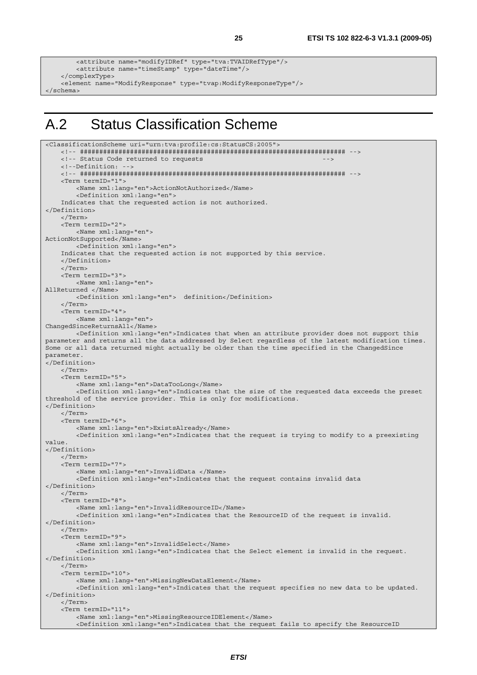```
 <attribute name="modifyIDRef" type="tva:TVAIDRefType"/> 
         <attribute name="timeStamp" type="dateTime"/> 
     </complexType> 
    <element name="ModifyResponse" type="tvap:ModifyResponseType"/> 
</schema>
```
## A.2 Status Classification Scheme

```
<ClassificationScheme uri="urn:tva:profile:cs:StatusCS:2005"> 
     <!-- ##################################################################### --> 
    <!-- Status Code returned to requests
     <!--Definition: --> 
     <!-- ##################################################################### --> 
     <Term termID="1"> 
         <Name xml:lang="en">ActionNotAuthorized</Name> 
         <Definition xml:lang="en"> 
     Indicates that the requested action is not authorized. 
</Definition> 
     </Term> 
     <Term termID="2"> 
         <Name xml:lang="en"> 
ActionNotSupported</Name> 
         <Definition xml:lang="en"> 
     Indicates that the requested action is not supported by this service. 
     </Definition> 
     </Term> 
     <Term termID="3"> 
         <Name xml:lang="en"> 
AllReturned </Name> 
         <Definition xml:lang="en"> definition</Definition> 
     </Term> 
     <Term termID="4"> 
         <Name xml:lang="en"> 
ChangedSinceReturnsAll</Name> 
         <Definition xml:lang="en">Indicates that when an attribute provider does not support this 
parameter and returns all the data addressed by Select regardless of the latest modification times. 
Some or all data returned might actually be older than the time specified in the ChangedSince 
parameter. 
</Definition> 
     </Term> 
     <Term termID="5"> 
         <Name xml:lang="en">DataTooLong</Name> 
         <Definition xml:lang="en">Indicates that the size of the requested data exceeds the preset 
threshold of the service provider. This is only for modifications. 
</Definition> 
     </Term> 
     <Term termID="6"> 
         <Name xml:lang="en">ExistsAlready</Name> 
         <Definition xml:lang="en">Indicates that the request is trying to modify to a preexisting 
value. 
</Definition> 
     </Term> 
     <Term termID="7"> 
         <Name xml:lang="en">InvalidData </Name> 
         <Definition xml:lang="en">Indicates that the request contains invalid data 
</Definition> 
     </Term> 
     <Term termID="8"> 
         <Name xml:lang="en">InvalidResourceID</Name> 
         <Definition xml:lang="en">Indicates that the ResourceID of the request is invalid. 
</Definition> 
     </Term> 
     <Term termID="9"> 
         <Name xml:lang="en">InvalidSelect</Name> 
         <Definition xml:lang="en">Indicates that the Select element is invalid in the request. 
</Definition> 
     </Term> 
     <Term termID="10"> 
         <Name xml:lang="en">MissingNewDataElement</Name> 
         <Definition xml:lang="en">Indicates that the request specifies no new data to be updated. 
</Definition> 
     </Term> 
     <Term termID="11"> 
         <Name xml:lang="en">MissingResourceIDElement</Name> 
         <Definition xml:lang="en">Indicates that the request fails to specify the ResourceID
```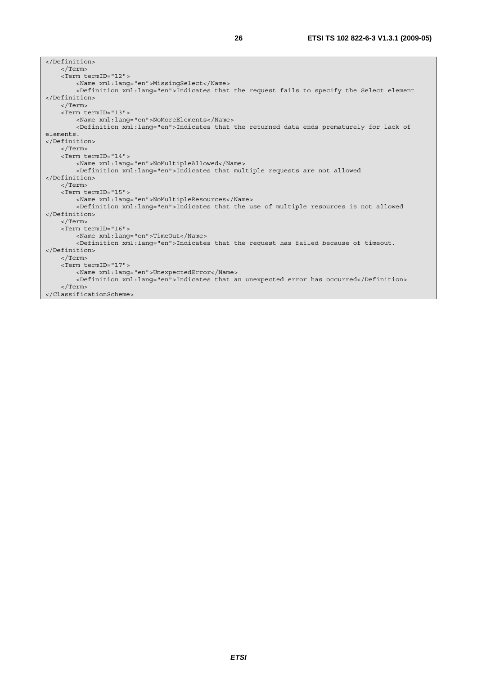| $\langle$ Term>                                                                                       |  |  |  |
|-------------------------------------------------------------------------------------------------------|--|--|--|
| <term termid="12"></term>                                                                             |  |  |  |
| <name xml:lang="en">MissingSelect</name>                                                              |  |  |  |
| <definition xml:lang="en">Indicates that the request fails to specify the Select element</definition> |  |  |  |
|                                                                                                       |  |  |  |
| $\langle$ /Term>                                                                                      |  |  |  |
| <term termid="13"></term>                                                                             |  |  |  |
| <name xml:lang="en">NoMoreElements</name>                                                             |  |  |  |
| <definition xml:lanq="en">Indicates that the returned data ends prematurely for lack of</definition>  |  |  |  |
| elements.                                                                                             |  |  |  |
|                                                                                                       |  |  |  |
| $\langle$ Term>                                                                                       |  |  |  |
| <term termid="14"></term>                                                                             |  |  |  |
| <name xml:lang="en">NoMultipleAllowed</name>                                                          |  |  |  |
| <definition xml:lang="en">Indicates that multiple requests are not allowed</definition>               |  |  |  |
|                                                                                                       |  |  |  |
| $\langle$ Term>                                                                                       |  |  |  |
| <term termid="15"></term>                                                                             |  |  |  |
| <name xml:lang="en">NoMultipleResources</name>                                                        |  |  |  |
| <definition xml:lanq="en">Indicates that the use of multiple resources is not allowed</definition>    |  |  |  |
|                                                                                                       |  |  |  |
| $\langle$ Term>                                                                                       |  |  |  |
| <term termid="16"></term>                                                                             |  |  |  |
| <name lang="en" xml:="">TimeOut</name>                                                                |  |  |  |
| <definition xml:lang="en">Indicates that the request has failed because of timeout.</definition>      |  |  |  |
|                                                                                                       |  |  |  |
| $\langle$ Term>                                                                                       |  |  |  |
| <term termid="17"></term>                                                                             |  |  |  |
| <name xml:lang="en">UnexpectedError</name>                                                            |  |  |  |
| <definition xml:lang="en">Indicates that an unexpected error has occurred</definition>                |  |  |  |
| $\langle$ Term>                                                                                       |  |  |  |
|                                                                                                       |  |  |  |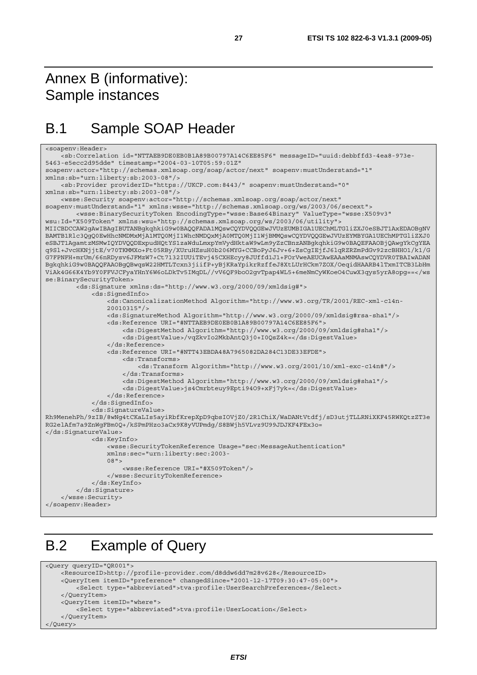## Annex B (informative): Sample instances

## B.1 Sample SOAP Header

```
<soapenv:Header> 
     <sb:Correlation id="NTTAEB9DE0EB0B1A89B00797A14C6EE85F6" messageID="uuid:debbffd3-4ea8-973e-
5463-e5ecc2d95dde" timestamp="2004-03-10T05:59:01Z" 
soapenv:actor="http://schemas.xmlsoap.org/soap/actor/next" soapenv:mustUnderstand="1" 
xmlns:sb="urn:liberty:sb:2003-08"/> 
     <sb:Provider providerID="https://UKCP.com:8443/" soapenv:mustUnderstand="0" 
xmlns:sb="urn:liberty:sb:2003-08"/> 
     <wsse:Security soapenv:actor="http://schemas.xmlsoap.org/soap/actor/next" 
soapenv:mustUnderstand="1" xmlns:wsse="http://schemas.xmlsoap.org/ws/2003/06/secext"> 
         <wsse:BinarySecurityToken EncodingType="wsse:Base64Binary" ValueType="wsse:X509v3" 
wsu:Id="X509Token" xmlns:wsu="http://schemas.xmlsoap.org/ws/2003/06/utility"> 
MIICBDCCAW2gAwIBAgIBUTANBgkqhkiG9w0BAQQFADA1MQswCQYDVQQGEwJVUzEUMBIGA1UEChMLTGliZXJ0eSBJT1AxEDAOBgNV
BAMTB1Rlc3QgQ0EwHhcNMDMxMjA1MTQ0MjI1WhcNMDQxMjA0MTQ0MjI1WjBMMQswCQYDVQQGEwJVUzEYMBYGA1UEChMPTGliZXJ0
eSBJT1AgamtzMSMwIQYDVQQDExpudHQtYS1zaWduLmxpYmVydHktaW9wLm9yZzCBnzANBgkqhkiG9w0BAQEFAAOBjQAwgYkCgYEA
q9Sl+JvcHKNjjtE/v70TKMMXo+Ft05RBy/XUruHZsuH0b206MYG+CCBoPyJ6Jv+6+ZsCgIEjfJ6lqRZRZmPdGv92zcBHHO1/k1/G
G7FPNFH+mrUm/66nRDysv6JFMzW7+Ct7132IUUiTEvj45CXHEcyy8JUffd1J1+FOrVweAEUCAwEAAaMNMAswCQYDVR0TBAIwADAN
BgkqhkiG9w0BAQQFAAOBgQBwqsW22HMTLTcxn3jiifP+yBjKRaYpikrRzffeJ8XtLUrHCkm7ZOX/OeqidHAARB4lTxmITCB3LbHm
ViAk4G66K4Yb9Y0FFVJCFyaYHnY6W6oLDkTv5IMqDL//vV6QF9boO2gvTpap4WL5+6meNmCyWKoeO4CuwX3qys5yrA8opg==</ws
se:BinarySecurityToken> 
         <ds:Signature xmlns:ds="http://www.w3.org/2000/09/xmldsig#"> 
             <ds:SignedInfo> 
                 <ds:CanonicalizationMethod Algorithm="http://www.w3.org/TR/2001/REC-xml-c14n- 
                 20010315"/> 
                 <ds:SignatureMethod Algorithm="http://www.w3.org/2000/09/xmldsig#rsa-sha1"/> 
                 <ds:Reference URI="#NTTAEB9DE0EB0B1A89B00797A14C6EE85F6"> 
                      <ds:DigestMethod Algorithm="http://www.w3.org/2000/09/xmldsig#sha1"/> 
                      <ds:DigestValue>/vqZkvIo2MkbAntQ3j0+I0QsZ4k=</ds:DigestValue> 
                 </ds:Reference> 
                 <ds:Reference URI="#NTT43EBDA48A7965082DA284C13DE33EFDE"> 
                     <ds:Transforms> 
                          <ds:Transform Algorithm="http://www.w3.org/2001/10/xml-exc-c14n#"/> 
                      </ds:Transforms> 
                      <ds:DigestMethod Algorithm="http://www.w3.org/2000/09/xmldsig#sha1"/> 
                      <ds:DigestValue>js4Cmrbteuy9Epti94O9+xFj7yk=</ds:DigestValue> 
                 </ds:Reference> 
             </ds:SignedInfo> 
             <ds:SignatureValue> 
Rh9MenehPh/9zIB/8wNg4tCKaLIs5ayiRbfKrepXpD9qbsIOVjZ0/2R1ChiX/WaDANtVtdfj/sD3utjTLLRNiXKF45RWKQtzZT3e
RG2elAfm7a9ZnWgFBm0Q+/kSPmPHzo3aCx9K8yVUPmdg/S8BWjh5VLvz9U99JDJKF4FEx3o= 
</ds:SignatureValue> 
             <ds:KeyInfo> 
                 <wsse:SecurityTokenReference Usage="sec:MessageAuthentication" 
                 xmlns:sec="urn:liberty:sec:2003- 
                 08"> 
                     <wsse:Reference URI="#X509Token"/> 
                 </wsse:SecurityTokenReference> 
             </ds:KeyInfo> 
         </ds:Signature> 
     </wsse:Security> 
</soapenv:Header>
```
## B.2 Example of Query

```
<Query queryID="QR001"> 
     <ResourceID>http://profile-provider.com/d8ddw6dd7m28v628</ResourceID> 
    <QueryItem itemID="preference" changedSince="2001-12-17T09:30:47-05:00"> 
         <Select type="abbreviated">tva:profile:UserSearchPreferences</Select> 
     </QueryItem> 
     <QueryItem itemID="where"> 
         <Select type="abbreviated">tva:profile:UserLocation</Select> 
     </QueryItem> 
</Query>
```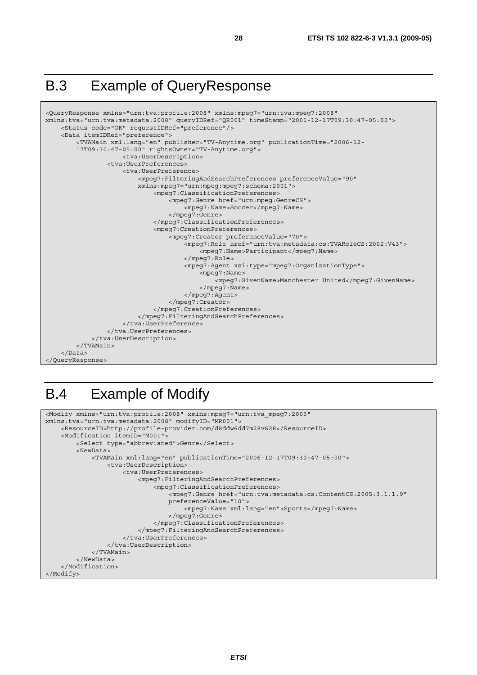## B.3 Example of QueryResponse



## B.4 Example of Modify

```
<Modify xmlns="urn:tva:profile:2008" xmlns:mpeg7="urn:tva_mpeg7:2005" 
xmlns:tva="urn:tva:metadata:2008" modifyID="MR001"> 
     <ResourceID>http://profile-provider.com/d8ddw6dd7m28v628</ResourceID> 
     <Modification itemID="M001"> 
         <Select type="abbreviated">Genre</Select> 
         <NewData> 
             <TVAMain xml:lang="en" publicationTime="2006-12-17T09:30:47-05:00"> 
                  <tva:UserDescription> 
                      <tva:UserPreferences> 
                          <mpeg7:FilteringAndSearchPreferences> 
                               <mpeg7:ClassificationPreferences> 
                                   <mpeg7:Genre href="urn:tva:metadata:cs:ContentCS:2005:3.1.1.9" 
                                   preferenceValue="10"> 
                                        <mpeg7:Name xml:lang="en">Sports</mpeg7:Name> 
                                   </mpeg7:Genre> 
                               </mpeg7:ClassificationPreferences> 
                           </mpeg7:FilteringAndSearchPreferences> 
                      </tva:UserPreferences> 
                  </tva:UserDescription> 
              </TVAMain> 
         </NewData> 
     </Modification> 
</Modify>
```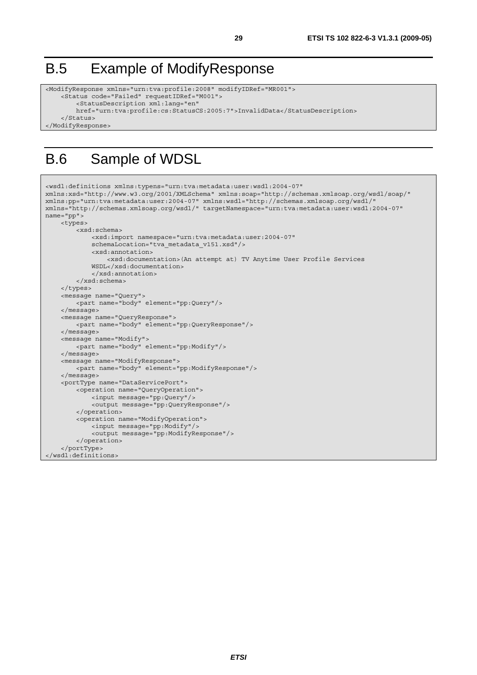## B.5 Example of ModifyResponse

```
<ModifyResponse xmlns="urn:tva:profile:2008" modifyIDRef="MR001"> 
     <Status code="Failed" requestIDRef="M001"> 
         <StatusDescription xml:lang="en" 
         href="urn:tva:profile:cs:StatusCS:2005:7">InvalidData</StatusDescription> 
     </Status> 
</ModifyResponse>
```
## B.6 Sample of WDSL

```
<wsdl:definitions xmlns:typens="urn:tva:metadata:user:wsdl:2004-07" 
xmlns:xsd="http://www.w3.org/2001/XMLSchema" xmlns:soap="http://schemas.xmlsoap.org/wsdl/soap/" 
xmlns:pp="urn:tva:metadata:user:2004-07" xmlns:wsdl="http://schemas.xmlsoap.org/wsdl/" 
xmlns="http://schemas.xmlsoap.org/wsdl/" targetNamespace="urn:tva:metadata:user:wsdl:2004-07" 
name="pp"> 
     <types> 
         <xsd:schema> 
             <xsd:import namespace="urn:tva:metadata:user:2004-07" 
             schemaLocation="tva_metadata_v151.xsd"/> 
             <xsd:annotation> 
                  <xsd:documentation>(An attempt at) TV Anytime User Profile Services 
             WSDL</xsd:documentation> 
              </xsd:annotation> 
         </xsd:schema> 
     </types> 
     <message name="Query"> 
         <part name="body" element="pp:Query"/> 
     </message> 
     <message name="QueryResponse"> 
         <part name="body" element="pp:QueryResponse"/> 
     </message> 
     <message name="Modify"> 
         <part name="body" element="pp:Modify"/> 
     </message> 
     <message name="ModifyResponse"> 
         <part name="body" element="pp:ModifyResponse"/> 
     </message> 
     <portType name="DataServicePort"> 
         <operation name="QueryOperation"> 
             <input message="pp:Query"/> 
              <output message="pp:QueryResponse"/> 
         </operation> 
         <operation name="ModifyOperation"> 
             <input message="pp:Modify"/> 
             <output message="pp:ModifyResponse"/> 
         </operation> 
     </portType> 
</wsdl:definitions>
```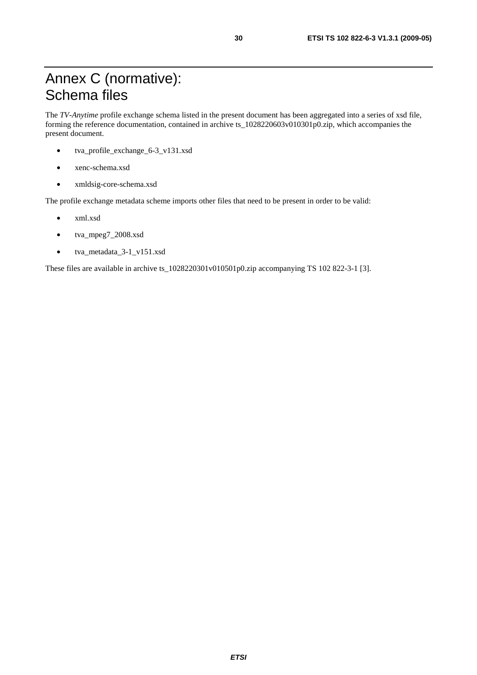The *TV-Anytime* profile exchange schema listed in the present document has been aggregated into a series of xsd file, forming the reference documentation, contained in archive ts\_1028220603v010301p0.zip, which accompanies the present document.

- tva\_profile\_exchange\_6-3\_v131.xsd
- xenc-schema.xsd
- xmldsig-core-schema.xsd

The profile exchange metadata scheme imports other files that need to be present in order to be valid:

- xml.xsd
- tva\_mpeg7\_2008.xsd
- tva\_metadata\_3-1\_v151.xsd

These files are available in archive ts\_1028220301v010501p0.zip accompanying TS 102 822-3-1 [3].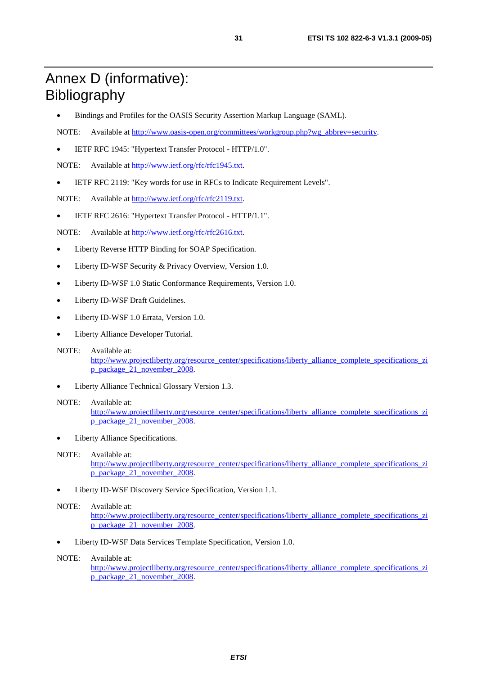## Annex D (informative): Bibliography

- Bindings and Profiles for the OASIS Security Assertion Markup Language (SAML).
- NOTE: Available at [http://www.oasis-open.org/committees/workgroup.php?wg\\_abbrev=security.](http://www.oasis-open.org/committees/workgroup.php?wg_abbrev=security)
- IETF RFC 1945: "Hypertext Transfer Protocol HTTP/1.0".

NOTE: Available at [http://www.ietf.org/rfc/rfc1945.txt.](ftp://ftp.rfc-editor.org/in-notes/rfc1945.txt)

• IETF RFC 2119: "Key words for use in RFCs to Indicate Requirement Levels".

NOTE: Available at [http://www.ietf.org/rfc/rfc2119.txt.](http://www.ietf.org/rfc/rfc2119.txt)

• IETF RFC 2616: "Hypertext Transfer Protocol - HTTP/1.1".

NOTE: Available at [http://www.ietf.org/rfc/rfc2616.txt.](ftp://ftp.rfc-editor.org/in-notes/rfc2616.txt)

- Liberty Reverse HTTP Binding for SOAP Specification.
- Liberty ID-WSF Security & Privacy Overview, Version 1.0.
- Liberty ID-WSF 1.0 Static Conformance Requirements, Version 1.0.
- Liberty ID-WSF Draft Guidelines.
- Liberty ID-WSF 1.0 Errata, Version 1.0.
- Liberty Alliance Developer Tutorial.
- NOTE: Available at: [http://www.projectliberty.org/resource\\_center/specifications/liberty\\_alliance\\_complete\\_specifications\\_zi](http://www.projectliberty.org/resource_center/specifications/liberty_alliance_complete_specifications_zip_package_21_november_2008) [p\\_package\\_21\\_november\\_2008.](http://www.projectliberty.org/resource_center/specifications/liberty_alliance_complete_specifications_zip_package_21_november_2008)
- Liberty Alliance Technical Glossary Version 1.3.

#### NOTE: Available at:

[http://www.projectliberty.org/resource\\_center/specifications/liberty\\_alliance\\_complete\\_specifications\\_zi](http://www.projectliberty.org/resource_center/specifications/liberty_alliance_complete_specifications_zip_package_21_november_2008) [p\\_package\\_21\\_november\\_2008.](http://www.projectliberty.org/resource_center/specifications/liberty_alliance_complete_specifications_zip_package_21_november_2008)

Liberty Alliance Specifications.

#### NOTE: Available at:

[http://www.projectliberty.org/resource\\_center/specifications/liberty\\_alliance\\_complete\\_specifications\\_zi](http://www.projectliberty.org/resource_center/specifications/liberty_alliance_complete_specifications_zip_package_21_november_2008) [p\\_package\\_21\\_november\\_2008.](http://www.projectliberty.org/resource_center/specifications/liberty_alliance_complete_specifications_zip_package_21_november_2008)

• Liberty ID-WSF Discovery Service Specification, Version 1.1.

#### NOTE: Available at:

[http://www.projectliberty.org/resource\\_center/specifications/liberty\\_alliance\\_complete\\_specifications\\_zi](http://www.projectliberty.org/resource_center/specifications/liberty_alliance_complete_specifications_zip_package_21_november_2008) [p\\_package\\_21\\_november\\_2008.](http://www.projectliberty.org/resource_center/specifications/liberty_alliance_complete_specifications_zip_package_21_november_2008)

• Liberty ID-WSF Data Services Template Specification, Version 1.0.

#### NOTE: Available at:

[http://www.projectliberty.org/resource\\_center/specifications/liberty\\_alliance\\_complete\\_specifications\\_zi](http://www.projectliberty.org/resource_center/specifications/liberty_alliance_complete_specifications_zip_package_21_november_2008) [p\\_package\\_21\\_november\\_2008.](http://www.projectliberty.org/resource_center/specifications/liberty_alliance_complete_specifications_zip_package_21_november_2008)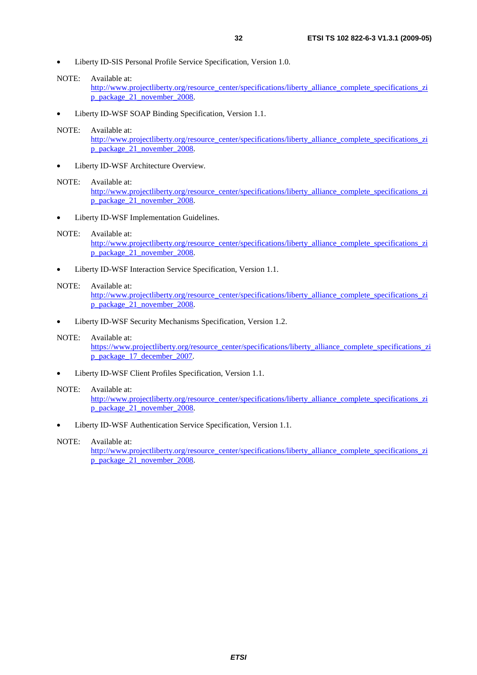- Liberty ID-SIS Personal Profile Service Specification, Version 1.0.
- NOTE: Available at:

[http://www.projectliberty.org/resource\\_center/specifications/liberty\\_alliance\\_complete\\_specifications\\_zi](http://www.projectliberty.org/resource_center/specifications/liberty_alliance_complete_specifications_zip_package_21_november_2008) [p\\_package\\_21\\_november\\_2008.](http://www.projectliberty.org/resource_center/specifications/liberty_alliance_complete_specifications_zip_package_21_november_2008)

• Liberty ID-WSF SOAP Binding Specification, Version 1.1.

#### NOTE: Available at:

[http://www.projectliberty.org/resource\\_center/specifications/liberty\\_alliance\\_complete\\_specifications\\_zi](http://www.projectliberty.org/resource_center/specifications/liberty_alliance_complete_specifications_zip_package_21_november_2008) [p\\_package\\_21\\_november\\_2008.](http://www.projectliberty.org/resource_center/specifications/liberty_alliance_complete_specifications_zip_package_21_november_2008)

Liberty ID-WSF Architecture Overview.

#### NOTE: Available at:

[http://www.projectliberty.org/resource\\_center/specifications/liberty\\_alliance\\_complete\\_specifications\\_zi](http://www.projectliberty.org/resource_center/specifications/liberty_alliance_complete_specifications_zip_package_21_november_2008) [p\\_package\\_21\\_november\\_2008.](http://www.projectliberty.org/resource_center/specifications/liberty_alliance_complete_specifications_zip_package_21_november_2008)

Liberty ID-WSF Implementation Guidelines.

#### NOTE: Available at:

[http://www.projectliberty.org/resource\\_center/specifications/liberty\\_alliance\\_complete\\_specifications\\_zi](http://www.projectliberty.org/resource_center/specifications/liberty_alliance_complete_specifications_zip_package_21_november_2008) [p\\_package\\_21\\_november\\_2008.](http://www.projectliberty.org/resource_center/specifications/liberty_alliance_complete_specifications_zip_package_21_november_2008)

• Liberty ID-WSF Interaction Service Specification, Version 1.1.

#### NOTE: Available at:

[http://www.projectliberty.org/resource\\_center/specifications/liberty\\_alliance\\_complete\\_specifications\\_zi](http://www.projectliberty.org/resource_center/specifications/liberty_alliance_complete_specifications_zip_package_21_november_2008) [p\\_package\\_21\\_november\\_2008.](http://www.projectliberty.org/resource_center/specifications/liberty_alliance_complete_specifications_zip_package_21_november_2008)

• Liberty ID-WSF Security Mechanisms Specification, Version 1.2.

#### NOTE: Available at:

[https://www.projectliberty.org/resource\\_center/specifications/liberty\\_alliance\\_complete\\_specifications\\_zi](https://www.projectliberty.org/resource_center/specifications/liberty_alliance_complete_specifications_zip_package_17_december_2007) [p\\_package\\_17\\_december\\_2007.](https://www.projectliberty.org/resource_center/specifications/liberty_alliance_complete_specifications_zip_package_17_december_2007)

• Liberty ID-WSF Client Profiles Specification, Version 1.1.

#### NOTE: Available at:

[http://www.projectliberty.org/resource\\_center/specifications/liberty\\_alliance\\_complete\\_specifications\\_zi](http://www.projectliberty.org/resource_center/specifications/liberty_alliance_complete_specifications_zip_package_21_november_2008) p\_package<sup>21\_</sup>november\_2008.

• Liberty ID-WSF Authentication Service Specification, Version 1.1.

#### NOTE: Available at:

[http://www.projectliberty.org/resource\\_center/specifications/liberty\\_alliance\\_complete\\_specifications\\_zi](http://www.projectliberty.org/resource_center/specifications/liberty_alliance_complete_specifications_zip_package_21_november_2008) [p\\_package\\_21\\_november\\_2008.](http://www.projectliberty.org/resource_center/specifications/liberty_alliance_complete_specifications_zip_package_21_november_2008)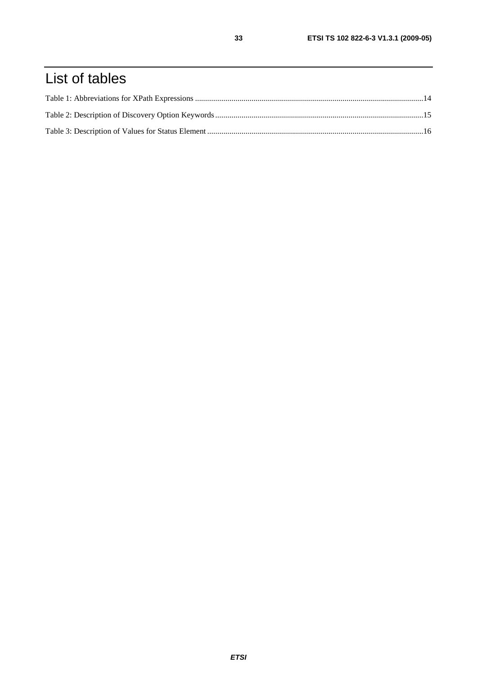## List of tables